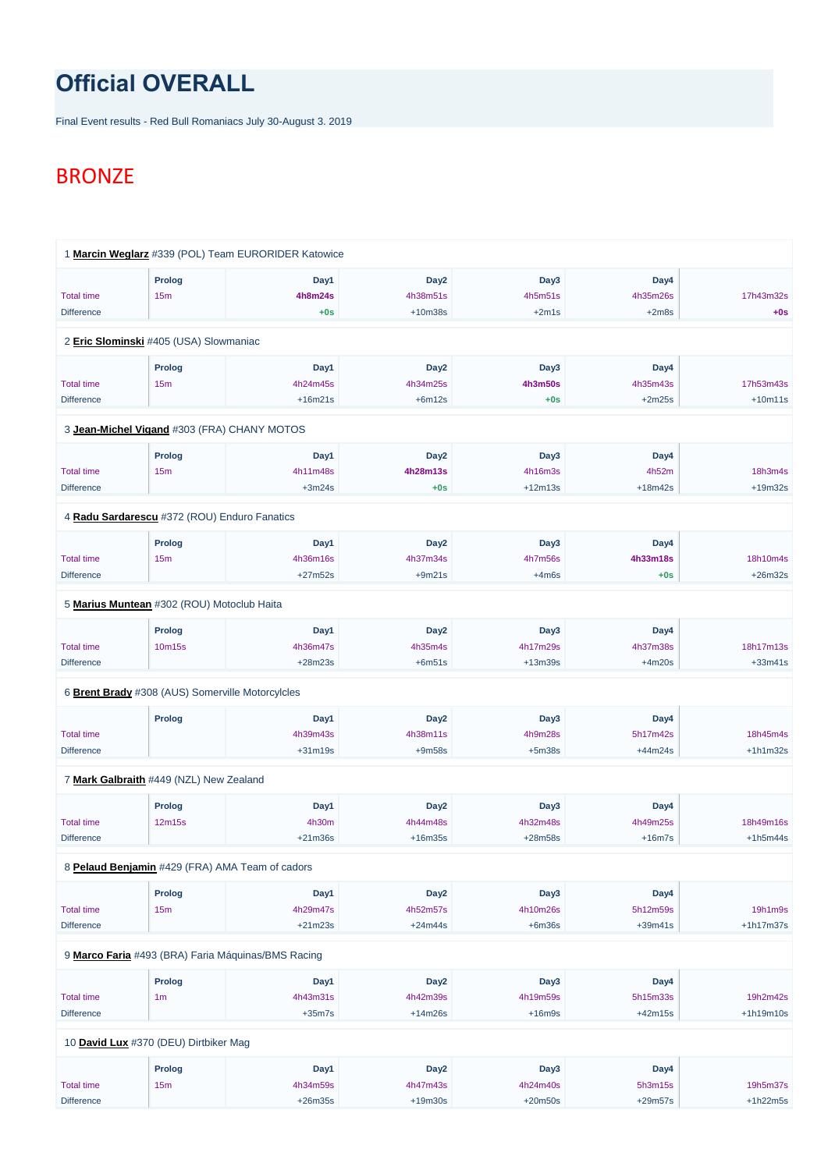## **Official OVERALL**

Final Event results - Red Bull Romaniacs July 30-August 3. 2019

## **BRONZE**

|                   | 1 Marcin Weglarz #339 (POL) Team EURORIDER Katowice |                |                  |                |           |            |
|-------------------|-----------------------------------------------------|----------------|------------------|----------------|-----------|------------|
|                   | <b>Prolog</b>                                       | Day1           | Day <sub>2</sub> | Day3           | Day4      |            |
| <b>Total time</b> | 15m                                                 | <b>4h8m24s</b> | 4h38m51s         | 4h5m51s        | 4h35m26s  | 17h43m32s  |
| <b>Difference</b> |                                                     | $+0s$          | $+10m38s$        | $+2m1s$        | $+2m8s$   | $+0s$      |
|                   | 2 Eric Slominski #405 (USA) Slowmaniac              |                |                  |                |           |            |
|                   | <b>Prolog</b>                                       | Day1           | Day <sub>2</sub> | Day3           | Day4      |            |
| <b>Total time</b> | 15m                                                 | 4h24m45s       | 4h34m25s         | <b>4h3m50s</b> | 4h35m43s  | 17h53m43s  |
| <b>Difference</b> |                                                     | $+16m21s$      | $+6m12s$         | $+0s$          | $+2m25s$  | $+10m11s$  |
|                   | 3 Jean-Michel Vigand #303 (FRA) CHANY MOTOS         |                |                  |                |           |            |
|                   | <b>Prolog</b>                                       | Day1           | Day <sub>2</sub> | Day3           | Day4      |            |
| <b>Total time</b> | 15m                                                 | 4h11m48s       | 4h28m13s         | 4h16m3s        | 4h52m     | 18h3m4s    |
| <b>Difference</b> |                                                     | $+3m24s$       | $+0s$            | $+12m13s$      | $+18m42s$ | $+19m32s$  |
|                   | 4 Radu Sardarescu #372 (ROU) Enduro Fanatics        |                |                  |                |           |            |
|                   | <b>Prolog</b>                                       | Day1           | Day <sub>2</sub> | Day3           | Day4      |            |
| <b>Total time</b> | 15m                                                 | 4h36m16s       | 4h37m34s         | 4h7m56s        | 4h33m18s  | 18h10m4s   |
| <b>Difference</b> |                                                     | $+27m52s$      | $+9m21s$         | $+4m6s$        | $+0s$     | $+26m32s$  |
|                   | 5 Marius Muntean #302 (ROU) Motoclub Haita          |                |                  |                |           |            |
|                   | Prolog                                              | Day1           | Day <sub>2</sub> | Day3           | Day4      |            |
| <b>Total time</b> | 10m15s                                              | 4h36m47s       | 4h35m4s          | 4h17m29s       | 4h37m38s  | 18h17m13s  |
| <b>Difference</b> |                                                     | $+28m23s$      | $+6m51s$         | $+13m39s$      | $+4m20s$  | $+33m41s$  |
|                   | 6 Brent Brady #308 (AUS) Somerville Motorcylcles    |                |                  |                |           |            |
|                   | Prolog                                              | Day1           | Day <sub>2</sub> | Day3           | Day4      |            |
| <b>Total time</b> |                                                     | 4h39m43s       | 4h38m11s         | 4h9m28s        | 5h17m42s  | 18h45m4s   |
| <b>Difference</b> |                                                     | $+31m19s$      | $+9m58s$         | $+5m38s$       | $+44m24s$ | $+1h1m32s$ |
|                   | 7 Mark Galbraith #449 (NZL) New Zealand             |                |                  |                |           |            |
|                   | <b>Prolog</b>                                       | Day1           | Day <sub>2</sub> | Day3           | Day4      |            |
| <b>Total time</b> | 12m15s                                              | 4h30m          | 4h44m48s         | 4h32m48s       | 4h49m25s  | 18h49m16s  |
| <b>Difference</b> |                                                     | $+21m36s$      | $+16m35s$        | +28m58s        | $+16m7s$  | $+1h5m44s$ |
|                   |                                                     |                |                  |                |           |            |

8 **[Pelaud Benjamin](https://www.redbullromaniacs.com/for-competitors/profile/?e=rbr2019&b=429)** #429 (FRA) AMA Team of cadors

|                                       | <b>Prolog</b>  | Day1                                               | Day <sub>2</sub> | Day3      | Day4      |             |
|---------------------------------------|----------------|----------------------------------------------------|------------------|-----------|-----------|-------------|
| <b>Total time</b>                     | 15m            | 4h29m47s                                           | 4h52m57s         | 4h10m26s  | 5h12m59s  | 19h1m9s     |
| <b>Difference</b>                     |                | $+21m23s$                                          | $+24m44s$        | $+6m36s$  | $+39m41s$ | $+1h17m37s$ |
|                                       |                |                                                    |                  |           |           |             |
|                                       |                | 9 Marco Faria #493 (BRA) Faria Máquinas/BMS Racing |                  |           |           |             |
|                                       | <b>Prolog</b>  | Day1                                               | Day <sub>2</sub> | Day3      | Day4      |             |
| <b>Total time</b>                     | 1 <sub>m</sub> | 4h43m31s                                           | 4h42m39s         | 4h19m59s  | 5h15m33s  | 19h2m42s    |
| <b>Difference</b>                     |                | $+35m7s$                                           | $+14m26s$        | $+16m9s$  | $+42m15s$ | $+1h19m10s$ |
|                                       |                |                                                    |                  |           |           |             |
| 10 David Lux #370 (DEU) Dirtbiker Mag |                |                                                    |                  |           |           |             |
|                                       | Prolog         | Day1                                               | Day <sub>2</sub> | Day3      | Day4      |             |
| <b>Total time</b>                     | 15m            | 4h34m59s                                           | 4h47m43s         | 4h24m40s  | 5h3m15s   | 19h5m37s    |
| <b>Difference</b>                     |                | $+26m35s$                                          | $+19m30s$        | $+20m50s$ | $+29m57s$ | $+1h22m5s$  |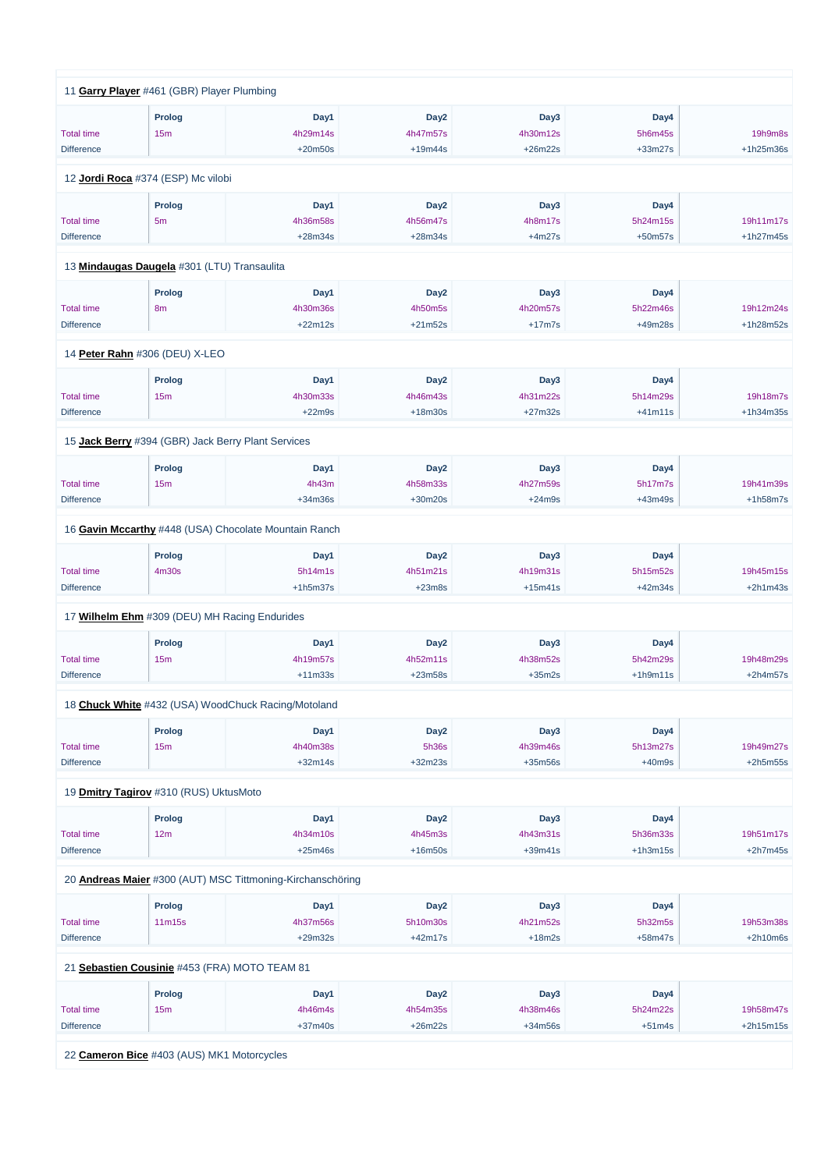|                                        | 11 Garry Player #461 (GBR) Player Plumbing            |                       |                    |                     |                      |             |
|----------------------------------------|-------------------------------------------------------|-----------------------|--------------------|---------------------|----------------------|-------------|
|                                        |                                                       |                       |                    |                     |                      |             |
|                                        | <b>Prolog</b>                                         | Day1                  | Day <sub>2</sub>   | Day3                | Day4                 |             |
| <b>Total time</b>                      | 15m                                                   | 4h29m14s              | 4h47m57s           | 4h30m12s            | 5h6m45s              | 19h9m8s     |
| <b>Difference</b>                      |                                                       | $+20m50s$             | $+19m44s$          | $+26m22s$           | $+33m27s$            | +1h25m36s   |
|                                        | 12 Jordi Roca #374 (ESP) Mc vilobi                    |                       |                    |                     |                      |             |
|                                        | <b>Prolog</b>                                         | Day1                  | Day <sub>2</sub>   | Day3                | Day4                 |             |
| <b>Total time</b>                      | 5 <sub>m</sub>                                        | 4h36m58s              | 4h56m47s           | 4h8m17s             | 5h24m15s             | 19h11m17s   |
|                                        |                                                       | $+28m34s$             | $+28m34s$          | $+4m27s$            |                      | $+1h27m45s$ |
| <b>Difference</b>                      |                                                       |                       |                    |                     | $+50m57s$            |             |
|                                        | 13 Mindaugas Daugela #301 (LTU) Transaulita           |                       |                    |                     |                      |             |
|                                        | <b>Prolog</b>                                         | Day1                  | Day <sub>2</sub>   | Day3                | Day4                 |             |
| <b>Total time</b>                      | 8 <sub>m</sub>                                        | 4h30m36s              | 4h50m5s            | 4h20m57s            | 5h22m46s             | 19h12m24s   |
| <b>Difference</b>                      |                                                       | $+22m12s$             | $+21m52s$          | $+17m7s$            | +49m28s              | +1h28m52s   |
|                                        |                                                       |                       |                    |                     |                      |             |
|                                        | 14 Peter Rahn #306 (DEU) X-LEO                        |                       |                    |                     |                      |             |
|                                        | <b>Prolog</b>                                         | Day1                  | Day <sub>2</sub>   | Day3                | Day4                 |             |
| <b>Total time</b>                      | 15m                                                   | 4h30m33s              | 4h46m43s           | 4h31m22s            | 5h14m29s             | 19h18m7s    |
| <b>Difference</b>                      |                                                       | $+22m9s$              | $+18m30s$          | $+27m32s$           | $+41m11s$            | $+1h34m35s$ |
|                                        | 15 Jack Berry #394 (GBR) Jack Berry Plant Services    |                       |                    |                     |                      |             |
|                                        | Prolog                                                | Day1                  | Day <sub>2</sub>   | Day3                | Day4                 |             |
| <b>Total time</b>                      | 15m                                                   | 4h43m                 | 4h58m33s           | 4h27m59s            | 5h17m7s              | 19h41m39s   |
| <b>Difference</b>                      |                                                       | $+34m36s$             | $+30m20s$          | $+24m9s$            | $+43m49s$            | $+1h58m7s$  |
|                                        |                                                       |                       |                    |                     |                      |             |
|                                        | 16 Gavin Mccarthy #448 (USA) Chocolate Mountain Ranch |                       |                    |                     |                      |             |
|                                        | <b>Prolog</b>                                         | Day1                  | Day <sub>2</sub>   | Day3                | Day4                 |             |
| <b>Total time</b>                      | 4m30s                                                 | 5h14m1s               | 4h51m21s           | 4h19m31s            | 5h15m52s             | 19h45m15s   |
| <b>Difference</b>                      |                                                       | $+1h5m37s$            | $+23m8s$           | $+15m41s$           | $+42m34s$            | $+2h1m43s$  |
|                                        | 17 Wilhelm Ehm #309 (DEU) MH Racing Endurides         |                       |                    |                     |                      |             |
|                                        |                                                       |                       |                    |                     |                      |             |
|                                        | <b>Prolog</b>                                         | Day1                  | Day <sub>2</sub>   | Day3                | Day4                 |             |
| <b>Total time</b>                      | 15m                                                   | 4h19m57s              | 4h52m11s           | 4h38m52s            | 5h42m29s             | 19h48m29s   |
| <b>Difference</b>                      |                                                       | $+11m33s$             | $+23m58s$          | $+35m2s$            | $+1h9m11s$           | $+2h4m57s$  |
|                                        | 18 Chuck White #432 (USA) WoodChuck Racing/Motoland   |                       |                    |                     |                      |             |
|                                        |                                                       |                       |                    |                     |                      |             |
|                                        | <b>Prolog</b>                                         | Day1                  | Day <sub>2</sub>   | Day3                | Day4                 | 19h49m27s   |
| <b>Total time</b><br><b>Difference</b> | 15m                                                   | 4h40m38s<br>$+32m14s$ | 5h36s<br>$+32m23s$ | 4h39m46s<br>+35m56s | 5h13m27s<br>$+40m9s$ | $+2h5m55s$  |
|                                        |                                                       |                       |                    |                     |                      |             |
|                                        | 19 <b>Dmitry Tagirov</b> #310 (RUS) UktusMoto         |                       |                    |                     |                      |             |
|                                        | Prolog                                                | Day1                  | Day <sub>2</sub>   | Day3                | Day4                 |             |
| <b>Total time</b>                      | 12m                                                   | 4h34m10s              | 4h45m3s            | 4h43m31s            | 5h36m33s             | 19h51m17s   |
| <b>Difference</b>                      |                                                       | $+25m46s$             | $+16m50s$          | $+39m41s$           | $+1h3m15s$           | $+2h7m45s$  |
|                                        |                                                       |                       |                    |                     |                      |             |

20 **[Andreas Maier](https://www.redbullromaniacs.com/for-competitors/profile/?e=rbr2019&b=300)** #300 (AUT) MSC Tittmoning-Kirchanschöring

|                   | <b>Prolog</b>                                 | Day1      | Day2             | Day3      | Day4      |             |
|-------------------|-----------------------------------------------|-----------|------------------|-----------|-----------|-------------|
| <b>Total time</b> | 11 <sub>m</sub> 15 <sub>s</sub>               | 4h37m56s  | 5h10m30s         | 4h21m52s  | 5h32m5s   | 19h53m38s   |
| <b>Difference</b> |                                               | $+29m32s$ | $+42m17s$        | $+18m2s$  | $+58m47s$ | $+2h10m6s$  |
|                   | 21 Sebastien Cousinie #453 (FRA) MOTO TEAM 81 |           |                  |           |           |             |
|                   |                                               |           |                  |           |           |             |
|                   | <b>Prolog</b>                                 | Day1      | Day <sub>2</sub> | Day3      | Day4      |             |
| <b>Total time</b> | 15 <sub>m</sub>                               | 4h46m4s   | 4h54m35s         | 4h38m46s  | 5h24m22s  | 19h58m47s   |
| <b>Difference</b> |                                               | $+37m40s$ | $+26m22s$        | $+34m56s$ | $+51m4s$  | $+2h15m15s$ |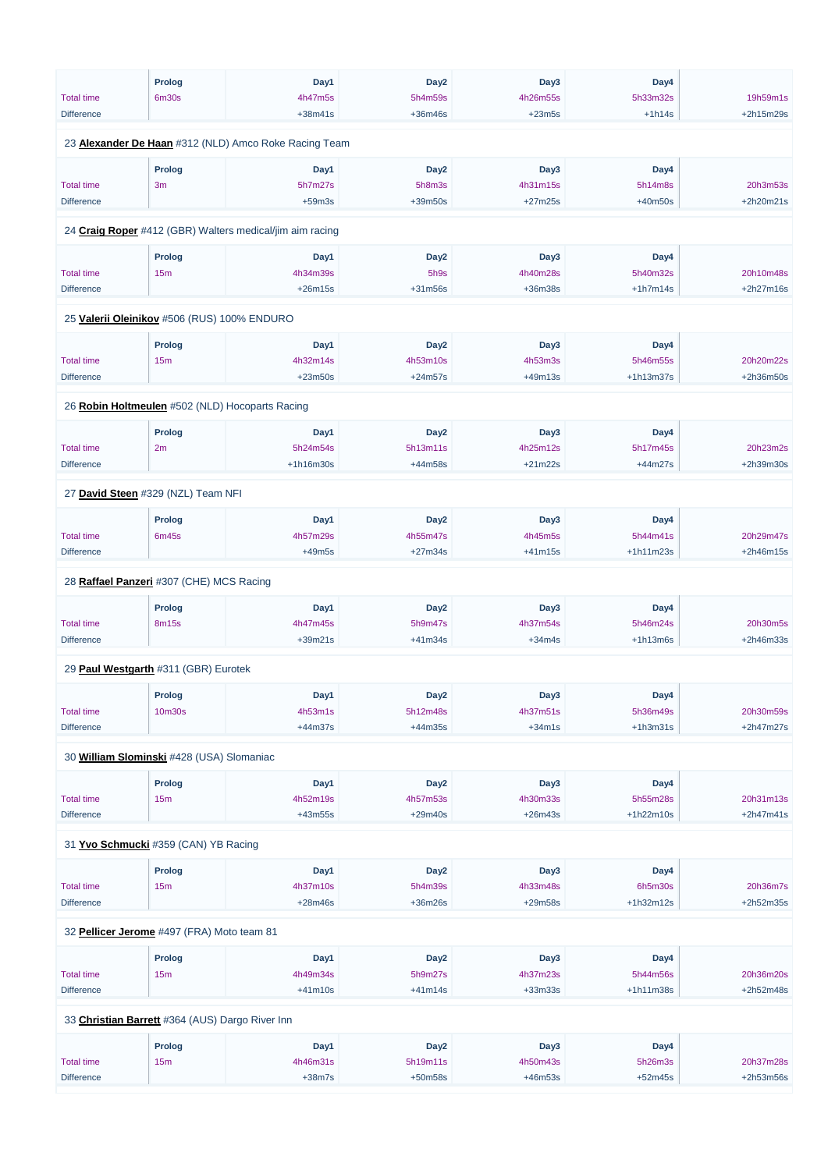|                                             | <b>Prolog</b>  | Day1                                                         | Day <sub>2</sub> | Day3      | Day4        |             |
|---------------------------------------------|----------------|--------------------------------------------------------------|------------------|-----------|-------------|-------------|
| <b>Total time</b>                           | <b>6m30s</b>   | 4h47m5s                                                      | 5h4m59s          | 4h26m55s  | 5h33m32s    | 19h59m1s    |
| <b>Difference</b>                           |                | $+38m41s$                                                    | $+36m46s$        | $+23m5s$  | $+1h14s$    | +2h15m29s   |
|                                             |                | 23 <b>Alexander De Haan</b> #312 (NLD) Amco Roke Racing Team |                  |           |             |             |
|                                             | <b>Prolog</b>  | Day1                                                         | Day <sub>2</sub> | Day3      | Day4        |             |
| <b>Total time</b>                           | 3 <sub>m</sub> | 5h7m27s                                                      | 5h8m3s           | 4h31m15s  | 5h14m8s     | 20h3m53s    |
| <b>Difference</b>                           |                | $+59m3s$                                                     | +39m50s          | $+27m25s$ | $+40m50s$   | +2h20m21s   |
|                                             |                | 24 Craig Roper #412 (GBR) Walters medical/jim aim racing     |                  |           |             |             |
|                                             | Prolog         | Day1                                                         | Day <sub>2</sub> | Day3      | Day4        |             |
| <b>Total time</b>                           | 15m            | 4h34m39s                                                     | 5h9s             | 4h40m28s  | 5h40m32s    | 20h10m48s   |
| <b>Difference</b>                           |                | $+26m15s$                                                    | $+31m56s$        | +36m38s   | $+1h7m14s$  | $+2h27m16s$ |
| 25 Valerii Oleinikov #506 (RUS) 100% ENDURO |                |                                                              |                  |           |             |             |
|                                             | Prolog         | Day1                                                         | Day <sub>2</sub> | Day3      | Day4        |             |
| <b>Total time</b>                           | 15m            | 4h32m14s                                                     | 4h53m10s         | 4h53m3s   | 5h46m55s    | 20h20m22s   |
| <b>Difference</b>                           |                | $+23m50s$                                                    | $+24m57s$        | $+49m13s$ | $+1h13m37s$ | $+2h36m50s$ |
|                                             |                | 26 Robin Holtmeulen #502 (NLD) Hocoparts Racing              |                  |           |             |             |
|                                             | <b>Prolog</b>  | Day1                                                         | Day <sub>2</sub> | Day3      | Day4        |             |
| <b>Total time</b>                           | 2m             | 5h24m54s                                                     | 5h13m11s         | 4h25m12s  | 5h17m45s    | 20h23m2s    |
| <b>Difference</b>                           |                | +1h16m30s                                                    | +44m58s          | $+21m22s$ | $+44m27s$   | +2h39m30s   |
|                                             |                |                                                              |                  |           |             |             |
| 27 David Steen #329 (NZL) Team NFI          |                |                                                              |                  |           |             |             |
|                                             | Prolog         | Day1                                                         | Day <sub>2</sub> | Day3      | Day4        |             |
| <b>Total time</b>                           | 6m45s          | 4h57m29s                                                     | 4h55m47s         | 4h45m5s   | 5h44m41s    | 20h29m47s   |
| <b>Difference</b>                           |                | $+49m5s$                                                     | $+27m34s$        | $+41m15s$ | $+1h11m23s$ | +2h46m15s   |
| 28 Raffael Panzeri #307 (CHE) MCS Racing    |                |                                                              |                  |           |             |             |
|                                             | <b>Prolog</b>  | Day1                                                         | Day <sub>2</sub> | Day3      | Day4        |             |
| <b>Total time</b>                           | 8m15s          | 4h47m45s                                                     | 5h9m47s          | 4h37m54s  | 5h46m24s    | 20h30m5s    |
| <b>Difference</b>                           |                | $+39m21s$                                                    | $+41m34s$        | $+34m4s$  | $+1h13m6s$  | +2h46m33s   |
| 29 Paul Westgarth #311 (GBR) Eurotek        |                |                                                              |                  |           |             |             |
|                                             | <b>Prolog</b>  | Day1                                                         | Day <sub>2</sub> | Day3      | Day4        |             |
| <b>Total time</b>                           | 10m30s         | 4h53m1s                                                      | 5h12m48s         | 4h37m51s  | 5h36m49s    | 20h30m59s   |
| <b>Difference</b>                           |                | $+44m37s$                                                    | $+44m35s$        | $+34m1s$  | $+1h3m31s$  | +2h47m27s   |
|                                             |                |                                                              |                  |           |             |             |
| 30 William Slominski #428 (USA) Slomaniac   |                |                                                              |                  |           |             |             |
|                                             | <b>Prolog</b>  | Day1                                                         | Day <sub>2</sub> | Day3      | Day4        |             |
| <b>Total time</b>                           | 15m            | 4h52m19s                                                     | 4h57m53s         | 4h30m33s  | 5h55m28s    | 20h31m13s   |
| <b>Difference</b>                           |                | $+43m55s$                                                    | $+29m40s$        | $+26m43s$ | +1h22m10s   | $+2h47m41s$ |
| 31 Yvo Schmucki #359 (CAN) YB Racing        |                |                                                              |                  |           |             |             |

**Prolog**

**Day1**

**Day2**

**Day3**

**Day4**

| <b>Total time</b>                          | 15m                                             | 4h37m10s  | 5h4m39s          | 4h33m48s  | 6h5m30s     | 20h36m7s    |  |  |  |
|--------------------------------------------|-------------------------------------------------|-----------|------------------|-----------|-------------|-------------|--|--|--|
| <b>Difference</b>                          |                                                 | $+28m46s$ | $+36m26s$        | $+29m58s$ | $+1h32m12s$ | $+2h52m35s$ |  |  |  |
|                                            |                                                 |           |                  |           |             |             |  |  |  |
| 32 Pellicer Jerome #497 (FRA) Moto team 81 |                                                 |           |                  |           |             |             |  |  |  |
|                                            | <b>Prolog</b>                                   | Day1      | Day <sub>2</sub> | Day3      | Day4        |             |  |  |  |
| <b>Total time</b>                          | 15m                                             | 4h49m34s  | 5h9m27s          | 4h37m23s  | 5h44m56s    | 20h36m20s   |  |  |  |
| <b>Difference</b>                          |                                                 | $+41m10s$ | $+41m14s$        | $+33m33s$ | $+1h11m38s$ | $+2h52m48s$ |  |  |  |
|                                            |                                                 |           |                  |           |             |             |  |  |  |
|                                            | 33 Christian Barrett #364 (AUS) Dargo River Inn |           |                  |           |             |             |  |  |  |
|                                            | <b>Prolog</b>                                   | Day1      | Day <sub>2</sub> | Day3      | Day4        |             |  |  |  |
| <b>Total time</b>                          | 15m                                             | 4h46m31s  | 5h19m11s         | 4h50m43s  | 5h26m3s     | 20h37m28s   |  |  |  |
| <b>Difference</b>                          |                                                 | $+38m7s$  | $+50m58s$        | $+46m53s$ | $+52m45s$   | $+2h53m56s$ |  |  |  |
|                                            |                                                 |           |                  |           |             |             |  |  |  |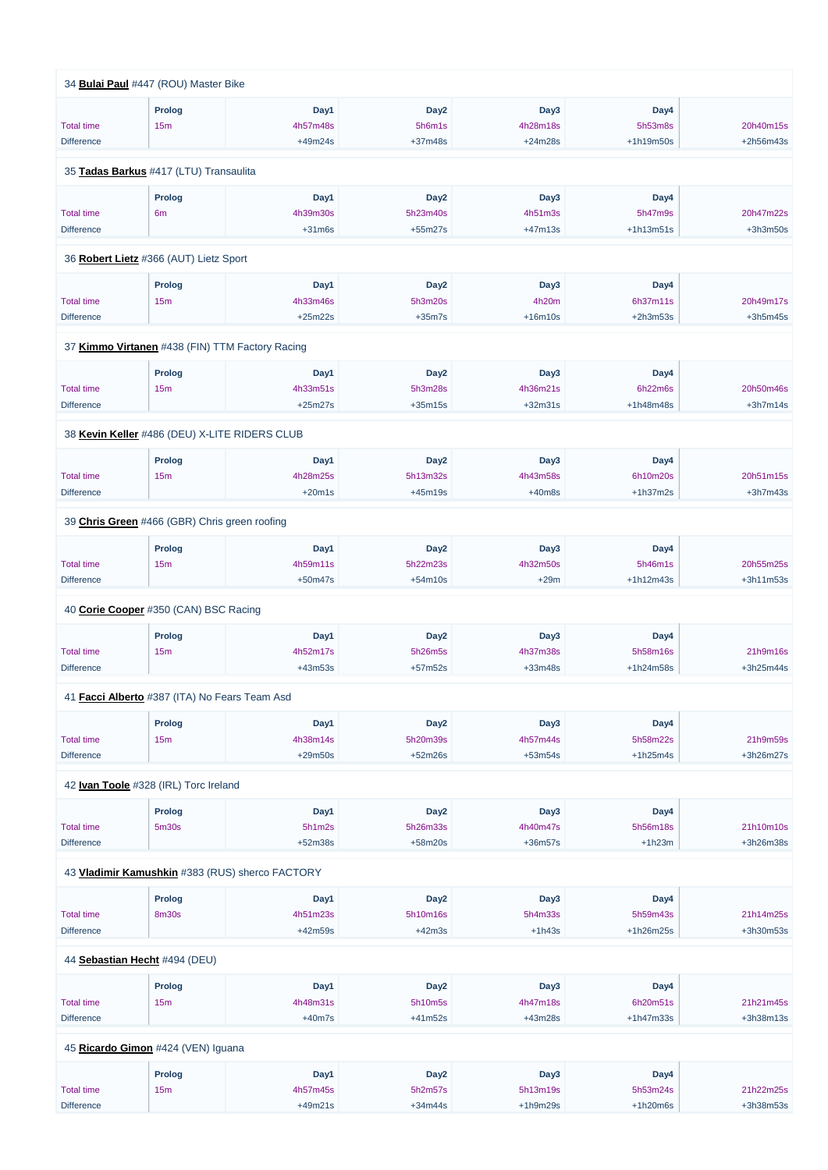|                   | 34 Bulai Paul #447 (ROU) Master Bike            |           |                  |           |             |             |
|-------------------|-------------------------------------------------|-----------|------------------|-----------|-------------|-------------|
|                   | <b>Prolog</b>                                   | Day1      | Day <sub>2</sub> | Day3      | Day4        |             |
| <b>Total time</b> | 15m                                             | 4h57m48s  | 5h6m1s           | 4h28m18s  | 5h53m8s     | 20h40m15s   |
| <b>Difference</b> |                                                 | $+49m24s$ | $+37m48s$        | $+24m28s$ | +1h19m50s   | +2h56m43s   |
|                   | 35 Tadas Barkus #417 (LTU) Transaulita          |           |                  |           |             |             |
|                   | <b>Prolog</b>                                   | Day1      | Day <sub>2</sub> | Day3      | Day4        |             |
| <b>Total time</b> | 6 <sub>m</sub>                                  | 4h39m30s  | 5h23m40s         | 4h51m3s   | 5h47m9s     | 20h47m22s   |
| <b>Difference</b> |                                                 | $+31m6s$  | $+55m27s$        | $+47m13s$ | $+1h13m51s$ | $+3h3m50s$  |
|                   | 36 Robert Lietz #366 (AUT) Lietz Sport          |           |                  |           |             |             |
|                   | Prolog                                          | Day1      | Day <sub>2</sub> | Day3      | Day4        |             |
| <b>Total time</b> | 15m                                             | 4h33m46s  | 5h3m20s          | 4h20m     | 6h37m11s    | 20h49m17s   |
| <b>Difference</b> |                                                 | $+25m22s$ | $+35m7s$         | $+16m10s$ | $+2h3m53s$  | $+3h5m45s$  |
|                   | 37 Kimmo Virtanen #438 (FIN) TTM Factory Racing |           |                  |           |             |             |
|                   | <b>Prolog</b>                                   | Day1      | Day <sub>2</sub> | Day3      | Day4        |             |
| <b>Total time</b> | 15m                                             | 4h33m51s  | 5h3m28s          | 4h36m21s  | 6h22m6s     | 20h50m46s   |
| <b>Difference</b> |                                                 | $+25m27s$ | $+35m15s$        | $+32m31s$ | +1h48m48s   | $+3h7m14s$  |
|                   | 38 Kevin Keller #486 (DEU) X-LITE RIDERS CLUB   |           |                  |           |             |             |
|                   |                                                 |           |                  |           |             |             |
|                   | <b>Prolog</b>                                   | Day1      | Day <sub>2</sub> | Day3      | Day4        |             |
| <b>Total time</b> | 15m                                             | 4h28m25s  | 5h13m32s         | 4h43m58s  | 6h10m20s    | 20h51m15s   |
| <b>Difference</b> |                                                 | $+20m1s$  | $+45m19s$        | $+40m8s$  | $+1h37m2s$  | $+3h7m43s$  |
|                   | 39 Chris Green #466 (GBR) Chris green roofing   |           |                  |           |             |             |
|                   | <b>Prolog</b>                                   | Day1      | Day <sub>2</sub> | Day3      | Day4        |             |
| <b>Total time</b> | 15m                                             | 4h59m11s  | 5h22m23s         | 4h32m50s  | 5h46m1s     | 20h55m25s   |
| <b>Difference</b> |                                                 | $+50m47s$ | $+54m10s$        | $+29m$    | $+1h12m43s$ | +3h11m53s   |
|                   | 40 Corie Cooper #350 (CAN) BSC Racing           |           |                  |           |             |             |
|                   | <b>Prolog</b>                                   | Day1      | Day <sub>2</sub> | Day3      | Day4        |             |
| <b>Total time</b> | 15m                                             | 4h52m17s  | 5h26m5s          | 4h37m38s  | 5h58m16s    | 21h9m16s    |
| <b>Difference</b> |                                                 | $+43m53s$ | $+57m52s$        | $+33m48s$ | +1h24m58s   | $+3h25m44s$ |
|                   | 41 Facci Alberto #387 (ITA) No Fears Team Asd   |           |                  |           |             |             |
|                   | <b>Prolog</b>                                   | Day1      | Day <sub>2</sub> | Day3      | Day4        |             |
| <b>Total time</b> | 15m                                             | 4h38m14s  | 5h20m39s         | 4h57m44s  | 5h58m22s    | 21h9m59s    |
| <b>Difference</b> |                                                 | $+29m50s$ | $+52m26s$        | $+53m54s$ | $+1h25m4s$  | +3h26m27s   |
|                   | 42 Ivan Toole #328 (IRL) Torc Ireland           |           |                  |           |             |             |
|                   | <b>Prolog</b>                                   | Day1      | Day <sub>2</sub> | Day3      | Day4        |             |
| <b>Total time</b> | 5m30s                                           | 5h1m2s    | 5h26m33s         | 4h40m47s  | 5h56m18s    | 21h10m10s   |
| <b>Difference</b> |                                                 | $+52m38s$ | $+58m20s$        | +36m57s   | $+1h23m$    | +3h26m38s   |
|                   |                                                 |           |                  |           |             |             |

43 **[Vladimir Kamushkin](https://www.redbullromaniacs.com/for-competitors/profile/?e=rbr2019&b=383)** #383 (RUS) sherco FACTORY

|                                    | <b>Prolog</b>   | Day1      | Day <sub>2</sub> | Day3       | Day4        |             |  |  |
|------------------------------------|-----------------|-----------|------------------|------------|-------------|-------------|--|--|
| <b>Total time</b>                  | 8m30s           | 4h51m23s  | 5h10m16s         | 5h4m33s    | 5h59m43s    | 21h14m25s   |  |  |
| <b>Difference</b>                  |                 | $+42m59s$ | $+42m3s$         | $+1h43s$   | $+1h26m25s$ | $+3h30m53s$ |  |  |
|                                    |                 |           |                  |            |             |             |  |  |
| 44 Sebastian Hecht #494 (DEU)      |                 |           |                  |            |             |             |  |  |
|                                    | <b>Prolog</b>   | Day1      | Day <sub>2</sub> | Day3       | Day4        |             |  |  |
| <b>Total time</b>                  | 15 <sub>m</sub> | 4h48m31s  | 5h10m5s          | 4h47m18s   | 6h20m51s    | 21h21m45s   |  |  |
| <b>Difference</b>                  |                 | $+40m7s$  | $+41m52s$        | $+43m28s$  | $+1h47m33s$ | +3h38m13s   |  |  |
|                                    |                 |           |                  |            |             |             |  |  |
| 45 Ricardo Gimon #424 (VEN) Iguana |                 |           |                  |            |             |             |  |  |
|                                    | <b>Prolog</b>   | Day1      | Day <sub>2</sub> | Day3       | Day4        |             |  |  |
| <b>Total time</b>                  | 15m             | 4h57m45s  | 5h2m57s          | 5h13m19s   | 5h53m24s    | 21h22m25s   |  |  |
| <b>Difference</b>                  |                 | $+49m21s$ | $+34m44s$        | $+1h9m29s$ | $+1h20m6s$  | $+3h38m53s$ |  |  |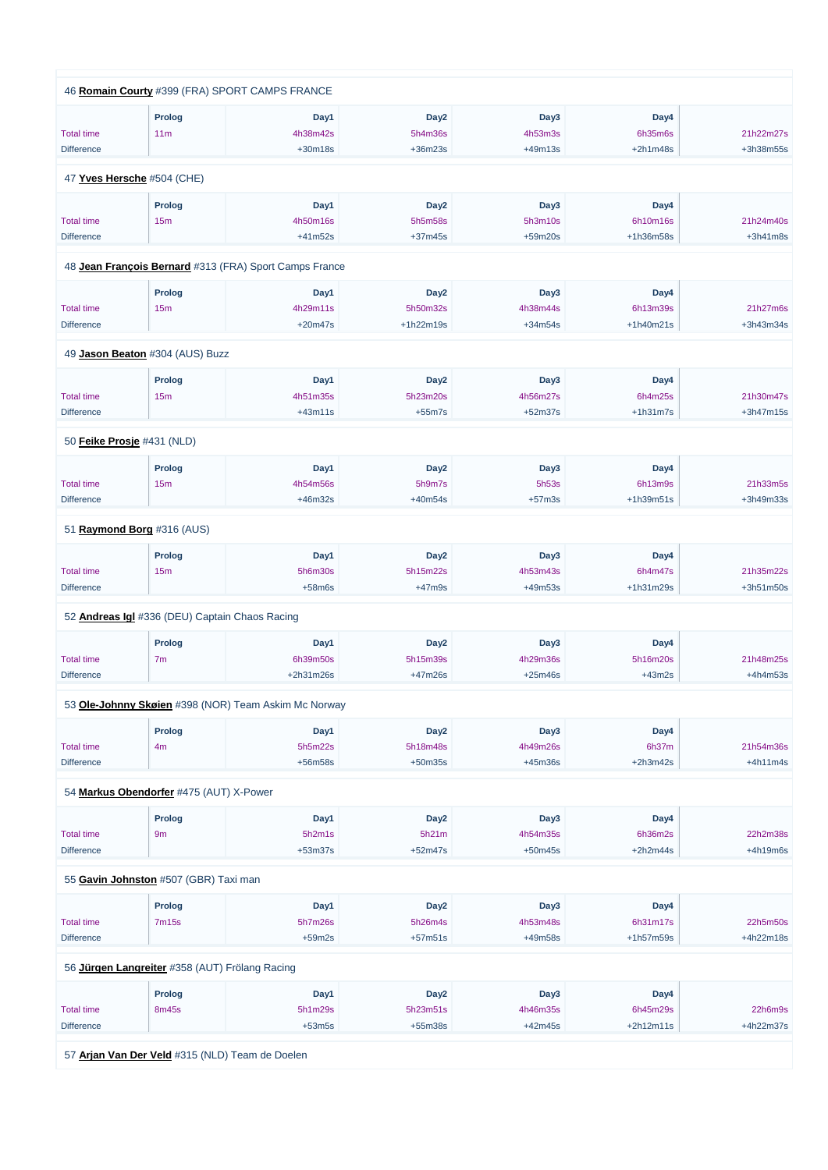|                   | 46 Romain Courty #399 (FRA) SPORT CAMPS FRANCE |                                                        |                  |                  |             |             |
|-------------------|------------------------------------------------|--------------------------------------------------------|------------------|------------------|-------------|-------------|
|                   |                                                |                                                        |                  |                  |             |             |
|                   | <b>Prolog</b>                                  | Day1                                                   | Day <sub>2</sub> | Day3             | Day4        |             |
| <b>Total time</b> | 11m                                            | 4h38m42s                                               | 5h4m36s          | 4h53m3s          | 6h35m6s     | 21h22m27s   |
| <b>Difference</b> |                                                | $+30m18s$                                              | $+36m23s$        | $+49m13s$        | $+2h1m48s$  | +3h38m55s   |
|                   | 47 Yves Hersche #504 (CHE)                     |                                                        |                  |                  |             |             |
|                   | <b>Prolog</b>                                  | Day1                                                   | Day <sub>2</sub> | Day3             | Day4        |             |
| <b>Total time</b> | 15m                                            | 4h50m16s                                               | 5h5m58s          | 5h3m10s          | 6h10m16s    | 21h24m40s   |
| <b>Difference</b> |                                                | $+41m52s$                                              | $+37m45s$        | $+59m20s$        | +1h36m58s   | $+3h41m8s$  |
|                   |                                                |                                                        |                  |                  |             |             |
|                   |                                                | 48 Jean François Bernard #313 (FRA) Sport Camps France |                  |                  |             |             |
|                   | <b>Prolog</b>                                  | Day1                                                   | Day <sub>2</sub> | Day3             | Day4        |             |
| <b>Total time</b> | 15m                                            | 4h29m11s                                               | 5h50m32s         | 4h38m44s         | 6h13m39s    | 21h27m6s    |
| <b>Difference</b> |                                                | $+20m47s$                                              | $+1h22m19s$      | $+34m54s$        | $+1h40m21s$ | +3h43m34s   |
|                   |                                                |                                                        |                  |                  |             |             |
|                   | 49 Jason Beaton #304 (AUS) Buzz                |                                                        |                  |                  |             |             |
|                   | Prolog                                         | Day1                                                   | Day <sub>2</sub> | Day3             | Day4        |             |
| <b>Total time</b> | 15m                                            | 4h51m35s                                               | 5h23m20s         | 4h56m27s         | 6h4m25s     | 21h30m47s   |
| <b>Difference</b> |                                                | $+43m11s$                                              | $+55m7s$         | $+52m37s$        | $+1h31m7s$  | $+3h47m15s$ |
|                   | 50 Feike Prosje #431 (NLD)                     |                                                        |                  |                  |             |             |
|                   |                                                |                                                        |                  |                  |             |             |
|                   | Prolog                                         | Day1                                                   | Day <sub>2</sub> | Day <sub>3</sub> | Day4        |             |
| <b>Total time</b> | 15m                                            | 4h54m56s                                               | 5h9m7s           | 5h53s            | 6h13m9s     | 21h33m5s    |
| <b>Difference</b> |                                                | $+46m32s$                                              | $+40m54s$        | $+57m3s$         | +1h39m51s   | +3h49m33s   |
|                   | 51 Raymond Borg #316 (AUS)                     |                                                        |                  |                  |             |             |
|                   | Prolog                                         | Day1                                                   | Day <sub>2</sub> | Day3             | Day4        |             |
| <b>Total time</b> | 15m                                            | 5h6m30s                                                | 5h15m22s         | 4h53m43s         | 6h4m47s     | 21h35m22s   |
| <b>Difference</b> |                                                | $+58m6s$                                               | $+47m9s$         | +49m53s          | +1h31m29s   | +3h51m50s   |
|                   | 52 Andreas Igl #336 (DEU) Captain Chaos Racing |                                                        |                  |                  |             |             |
|                   |                                                |                                                        |                  |                  |             |             |
|                   | <b>Prolog</b>                                  | Day1                                                   | Day <sub>2</sub> | Day3             | Day4        |             |
| <b>Total time</b> | 7 <sub>m</sub>                                 | 6h39m50s                                               | 5h15m39s         | 4h29m36s         | 5h16m20s    | 21h48m25s   |
| <b>Difference</b> |                                                | +2h31m26s                                              | $+47m26s$        | $+25m46s$        | $+43m2s$    | $+4h4m53s$  |
|                   |                                                | 53 Ole-Johnny Skøien #398 (NOR) Team Askim Mc Norway   |                  |                  |             |             |
|                   | <b>Prolog</b>                                  | Day1                                                   | Day <sub>2</sub> | Day3             | Day4        |             |
| <b>Total time</b> | 4m                                             | 5h5m22s                                                | 5h18m48s         | 4h49m26s         | 6h37m       | 21h54m36s   |
| <b>Difference</b> |                                                | $+56m58s$                                              | $+50m35s$        | $+45m36s$        | $+2h3m42s$  | $+4h11m4s$  |
|                   |                                                |                                                        |                  |                  |             |             |
|                   | 54 Markus Obendorfer #475 (AUT) X-Power        |                                                        |                  |                  |             |             |
|                   | Prolog                                         | Day1                                                   | Day <sub>2</sub> | Day3             | Day4        |             |
| <b>Total time</b> | 9m                                             | 5h2m1s                                                 | 5h21m            | 4h54m35s         | 6h36m2s     | 22h2m38s    |
| <b>Difference</b> |                                                | $+53m37s$                                              | $+52m47s$        | $+50m45s$        | $+2h2m44s$  | $+4h19m6s$  |
|                   |                                                |                                                        |                  |                  |             |             |

55 **[Gavin Johnston](https://www.redbullromaniacs.com/for-competitors/profile/?e=rbr2019&b=507)** #507 (GBR) Taxi man

|                                                | Prolog                                          | Day1     | Day <sub>2</sub> | Day3      | Day4        |             |  |  |  |
|------------------------------------------------|-------------------------------------------------|----------|------------------|-----------|-------------|-------------|--|--|--|
| <b>Total time</b>                              | 7m15s                                           | 5h7m26s  | 5h26m4s          | 4h53m48s  | 6h31m17s    | 22h5m50s    |  |  |  |
| <b>Difference</b>                              |                                                 | $+59m2s$ | $+57m51s$        | +49m58s   | $+1h57m59s$ | $+4h22m18s$ |  |  |  |
| 56 Jürgen Langreiter #358 (AUT) Frölang Racing |                                                 |          |                  |           |             |             |  |  |  |
|                                                |                                                 |          |                  |           |             |             |  |  |  |
|                                                | Prolog                                          | Day1     | Day <sub>2</sub> | Day3      | Day4        |             |  |  |  |
| <b>Total time</b>                              | 8m45s                                           | 5h1m29s  | 5h23m51s         | 4h46m35s  | 6h45m29s    | 22h6m9s     |  |  |  |
| <b>Difference</b>                              |                                                 | $+53m5s$ | $+55m38s$        | $+42m45s$ | $+2h12m11s$ | $+4h22m37s$ |  |  |  |
|                                                |                                                 |          |                  |           |             |             |  |  |  |
|                                                | 57 Arjan Van Der Veld #315 (NLD) Team de Doelen |          |                  |           |             |             |  |  |  |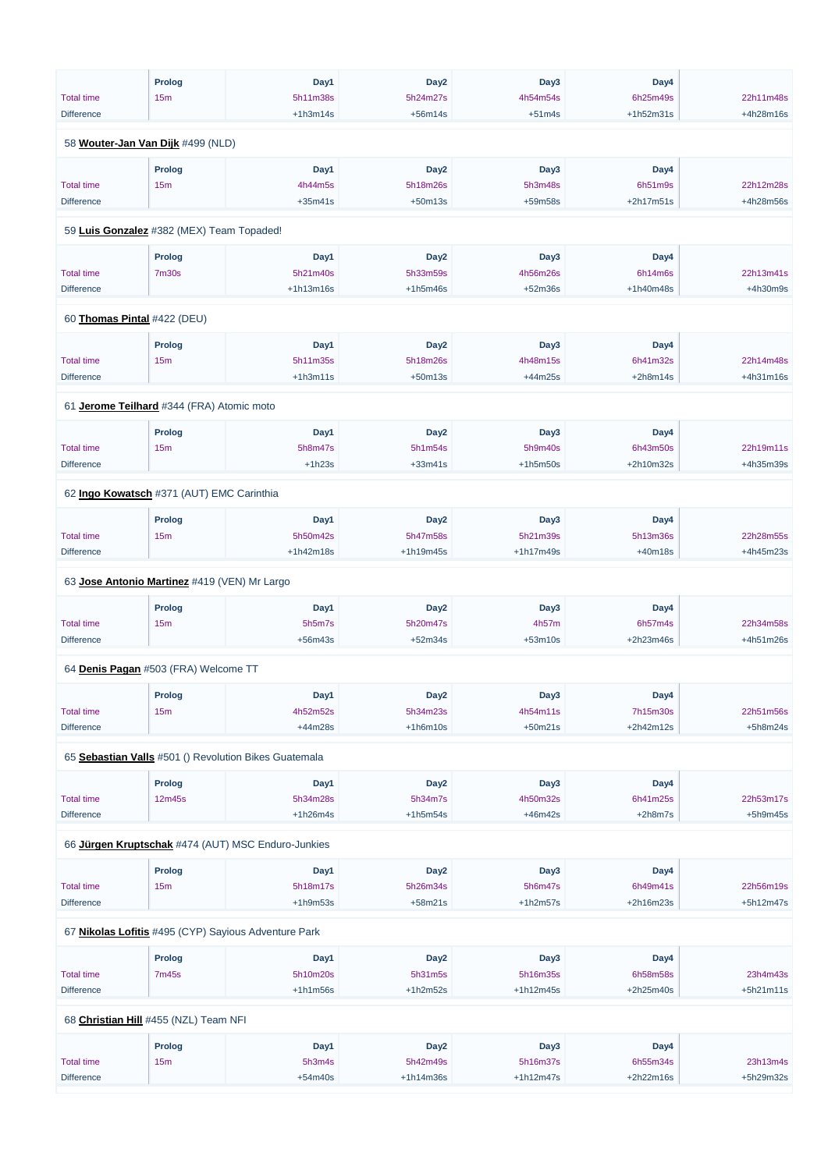|                                              | <b>Prolog</b> | Day1                                                  | Day <sub>2</sub> | Day3        | Day4        |            |  |
|----------------------------------------------|---------------|-------------------------------------------------------|------------------|-------------|-------------|------------|--|
| <b>Total time</b>                            | 15m           | 5h11m38s                                              | 5h24m27s         | 4h54m54s    | 6h25m49s    | 22h11m48s  |  |
| <b>Difference</b>                            |               | $+1h3m14s$                                            | $+56m14s$        | $+51m4s$    | $+1h52m31s$ | +4h28m16s  |  |
|                                              |               |                                                       |                  |             |             |            |  |
| 58 Wouter-Jan Van Dijk #499 (NLD)            |               |                                                       |                  |             |             |            |  |
|                                              | <b>Prolog</b> | Day1                                                  | Day <sub>2</sub> | Day3        | Day4        |            |  |
| <b>Total time</b>                            | 15m           | 4h44m5s                                               | 5h18m26s         | 5h3m48s     | 6h51m9s     | 22h12m28s  |  |
| <b>Difference</b>                            |               | $+35m41s$                                             | $+50m13s$        | +59m58s     | $+2h17m51s$ | +4h28m56s  |  |
|                                              |               |                                                       |                  |             |             |            |  |
| 59 Luis Gonzalez #382 (MEX) Team Topaded!    |               |                                                       |                  |             |             |            |  |
|                                              | <b>Prolog</b> | Day1                                                  | Day <sub>2</sub> | Day3        | Day4        |            |  |
| <b>Total time</b>                            | <b>7m30s</b>  | 5h21m40s                                              | 5h33m59s         | 4h56m26s    | 6h14m6s     | 22h13m41s  |  |
| <b>Difference</b>                            |               | $+1h13m16s$                                           | $+1h5m46s$       | $+52m36s$   | $+1h40m48s$ | $+4h30m9s$ |  |
| 60 Thomas Pintal #422 (DEU)                  |               |                                                       |                  |             |             |            |  |
|                                              |               |                                                       |                  |             |             |            |  |
|                                              | <b>Prolog</b> | Day1                                                  | Day <sub>2</sub> | Day3        | Day4        |            |  |
| <b>Total time</b>                            | 15m           | 5h11m35s                                              | 5h18m26s         | 4h48m15s    | 6h41m32s    | 22h14m48s  |  |
| <b>Difference</b>                            |               | $+1h3m11s$                                            | $+50m13s$        | $+44m25s$   | $+2h8m14s$  | +4h31m16s  |  |
| 61 Jerome Teilhard #344 (FRA) Atomic moto    |               |                                                       |                  |             |             |            |  |
|                                              | <b>Prolog</b> | Day1                                                  | Day <sub>2</sub> | Day3        | Day4        |            |  |
| <b>Total time</b>                            | 15m           | 5h8m47s                                               | 5h1m54s          | 5h9m40s     | 6h43m50s    | 22h19m11s  |  |
| <b>Difference</b>                            |               | $+1h23s$                                              | $+33m41s$        | $+1h5m50s$  | +2h10m32s   | +4h35m39s  |  |
|                                              |               |                                                       |                  |             |             |            |  |
| 62 Ingo Kowatsch #371 (AUT) EMC Carinthia    |               |                                                       |                  |             |             |            |  |
|                                              | <b>Prolog</b> | Day1                                                  | Day <sub>2</sub> | Day3        | Day4        |            |  |
| <b>Total time</b>                            | 15m           | 5h50m42s                                              | 5h47m58s         | 5h21m39s    | 5h13m36s    | 22h28m55s  |  |
| <b>Difference</b>                            |               | $+1h42m18s$                                           | +1h19m45s        | $+1h17m49s$ | $+40m18s$   | +4h45m23s  |  |
| 63 Jose Antonio Martinez #419 (VEN) Mr Largo |               |                                                       |                  |             |             |            |  |
|                                              |               |                                                       |                  |             |             |            |  |
|                                              | <b>Prolog</b> | Day1                                                  | Day <sub>2</sub> | Day3        | Day4        |            |  |
| <b>Total time</b>                            | 15m           | 5h5m7s                                                | 5h20m47s         | 4h57m       | 6h57m4s     | 22h34m58s  |  |
| <b>Difference</b>                            |               | $+56m43s$                                             | $+52m34s$        | $+53m10s$   | +2h23m46s   | +4h51m26s  |  |
| 64 Denis Pagan #503 (FRA) Welcome TT         |               |                                                       |                  |             |             |            |  |
|                                              | <b>Prolog</b> | Day1                                                  | Day <sub>2</sub> | Day3        | Day4        |            |  |
| <b>Total time</b>                            | 15m           | 4h52m52s                                              | 5h34m23s         | 4h54m11s    | 7h15m30s    | 22h51m56s  |  |
| <b>Difference</b>                            |               | +44m28s                                               | $+1h6m10s$       | $+50m21s$   | $+2h42m12s$ | $+5h8m24s$ |  |
|                                              |               |                                                       |                  |             |             |            |  |
|                                              |               | 65 Sebastian Valls #501 () Revolution Bikes Guatemala |                  |             |             |            |  |
|                                              | <b>Prolog</b> | Day1                                                  | Day <sub>2</sub> | Day3        | Day4        |            |  |
| <b>Total time</b>                            | 12m45s        | 5h34m28s                                              | 5h34m7s          | 4h50m32s    | 6h41m25s    | 22h53m17s  |  |
| <b>Difference</b>                            |               | $+1h26m4s$                                            | $+1h5m54s$       | $+46m42s$   | $+2h8m7s$   | $+5h9m45s$ |  |
|                                              |               | 66 Jürgen Kruptschak #474 (AUT) MSC Enduro-Junkies    |                  |             |             |            |  |
|                                              |               |                                                       |                  |             |             |            |  |

| <b>Prolog</b> | Dav1 | Dav2 | Day3 | Dav4 |  |
|---------------|------|------|------|------|--|
|               |      |      |      |      |  |

| <b>Total time</b> | 15m                                   | 5h18m17s                                             | 5h26m34s         | 5h6m47s     | 6h49m41s    | 22h56m19s   |
|-------------------|---------------------------------------|------------------------------------------------------|------------------|-------------|-------------|-------------|
| <b>Difference</b> |                                       | $+1h9m53s$                                           | $+58m21s$        | $+1h2m57s$  | $+2h16m23s$ | $+5h12m47s$ |
|                   |                                       |                                                      |                  |             |             |             |
|                   |                                       | 67 Nikolas Lofitis #495 (CYP) Sayious Adventure Park |                  |             |             |             |
|                   |                                       |                                                      |                  |             |             |             |
|                   | <b>Prolog</b>                         | Day1                                                 | Day <sub>2</sub> | Day3        | Day4        |             |
| <b>Total time</b> | 7m45s                                 | 5h10m20s                                             | 5h31m5s          | 5h16m35s    | 6h58m58s    | 23h4m43s    |
| <b>Difference</b> |                                       | $+1h1m56s$                                           | $+1h2m52s$       | $+1h12m45s$ | $+2h25m40s$ | $+5h21m11s$ |
|                   |                                       |                                                      |                  |             |             |             |
|                   | 68 Christian Hill #455 (NZL) Team NFI |                                                      |                  |             |             |             |
|                   |                                       |                                                      |                  |             |             |             |
|                   | <b>Prolog</b>                         | Day1                                                 | Day <sub>2</sub> | Day3        | Day4        |             |
| <b>Total time</b> | 15m                                   | 5h3m4s                                               | 5h42m49s         | 5h16m37s    | 6h55m34s    | 23h13m4s    |
| <b>Difference</b> |                                       | $+54m40s$                                            | $+1h14m36s$      | $+1h12m47s$ | $+2h22m16s$ | +5h29m32s   |
|                   |                                       |                                                      |                  |             |             |             |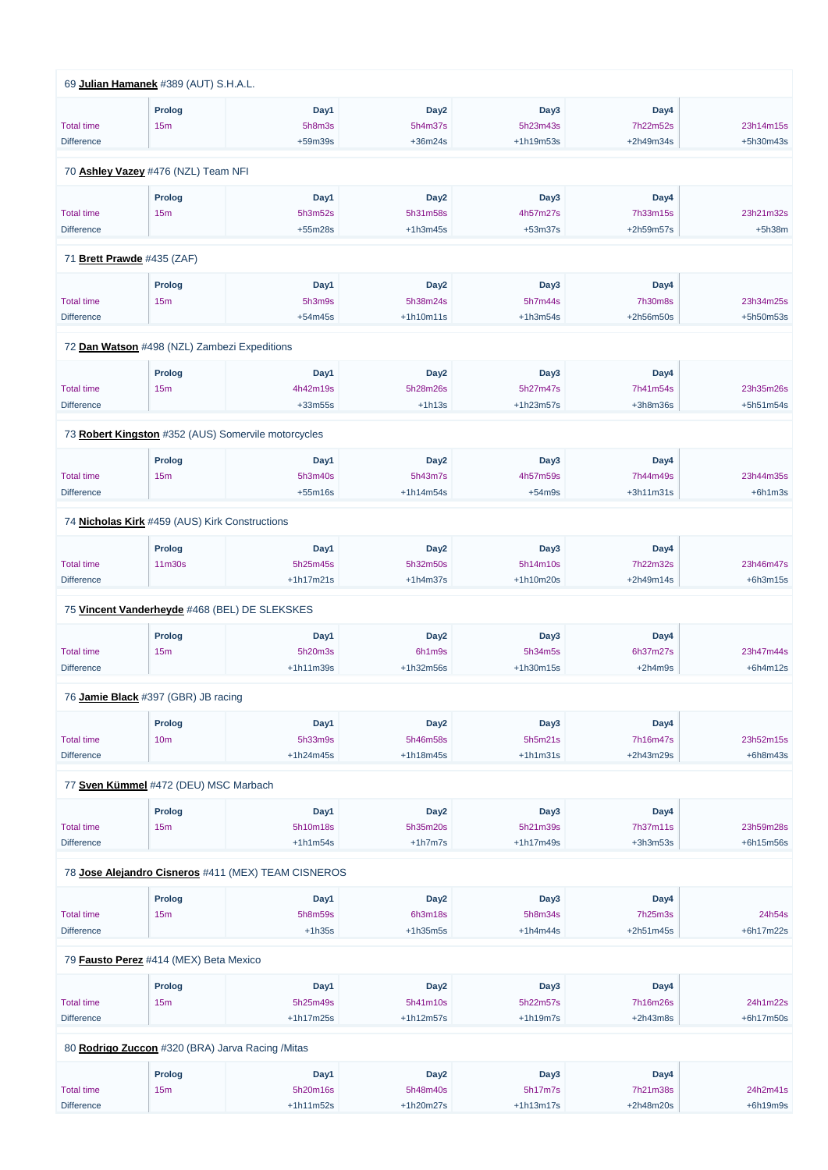| 69 Julian Hamanek #389 (AUT) S.H.A.L.          |                 |                                                     |                  |             |             |            |
|------------------------------------------------|-----------------|-----------------------------------------------------|------------------|-------------|-------------|------------|
|                                                | <b>Prolog</b>   | Day1                                                | Day <sub>2</sub> | Day3        | Day4        |            |
| <b>Total time</b>                              | 15m             | 5h8m3s                                              | 5h4m37s          | 5h23m43s    | 7h22m52s    | 23h14m15s  |
| <b>Difference</b>                              |                 | +59m39s                                             | $+36m24s$        | +1h19m53s   | +2h49m34s   | +5h30m43s  |
| 70 Ashley Vazey #476 (NZL) Team NFI            |                 |                                                     |                  |             |             |            |
|                                                | <b>Prolog</b>   | Day1                                                | Day <sub>2</sub> | Day3        | Day4        |            |
| <b>Total time</b>                              | 15m             | 5h3m52s                                             | 5h31m58s         | 4h57m27s    | 7h33m15s    | 23h21m32s  |
| <b>Difference</b>                              |                 | $+55m28s$                                           | $+1h3m45s$       | $+53m37s$   | +2h59m57s   | $+5h38m$   |
|                                                |                 |                                                     |                  |             |             |            |
| 71 Brett Prawde #435 (ZAF)                     |                 |                                                     |                  |             |             |            |
|                                                | <b>Prolog</b>   | Day1                                                | Day <sub>2</sub> | Day3        | Day4        |            |
| <b>Total time</b>                              | 15m             | 5h3m9s                                              | 5h38m24s         | 5h7m44s     | 7h30m8s     | 23h34m25s  |
| <b>Difference</b>                              |                 | $+54m45s$                                           | $+1h10m11s$      | $+1h3m54s$  | +2h56m50s   | +5h50m53s  |
| 72 Dan Watson #498 (NZL) Zambezi Expeditions   |                 |                                                     |                  |             |             |            |
|                                                | <b>Prolog</b>   | Day1                                                | Day <sub>2</sub> | Day3        | Day4        |            |
| <b>Total time</b>                              | 15m             | 4h42m19s                                            | 5h28m26s         | 5h27m47s    | 7h41m54s    | 23h35m26s  |
| <b>Difference</b>                              |                 | $+33m55s$                                           | $+1h13s$         | $+1h23m57s$ | $+3h8m36s$  | +5h51m54s  |
|                                                |                 | 73 Robert Kingston #352 (AUS) Somervile motorcycles |                  |             |             |            |
|                                                | <b>Prolog</b>   | Day1                                                | Day <sub>2</sub> | Day3        | Day4        |            |
| <b>Total time</b>                              | 15m             | 5h3m40s                                             | 5h43m7s          | 4h57m59s    | 7h44m49s    | 23h44m35s  |
| <b>Difference</b>                              |                 | $+55m16s$                                           | $+1h14m54s$      | $+54m9s$    | $+3h11m31s$ | $+6h1m3s$  |
| 74 Nicholas Kirk #459 (AUS) Kirk Constructions |                 |                                                     |                  |             |             |            |
|                                                | <b>Prolog</b>   | Day1                                                | Day <sub>2</sub> | Day3        | Day4        |            |
| <b>Total time</b>                              | 11m30s          | 5h25m45s                                            | 5h32m50s         | 5h14m10s    | 7h22m32s    | 23h46m47s  |
| <b>Difference</b>                              |                 | $+1h17m21s$                                         | $+1h4m37s$       | $+1h10m20s$ | $+2h49m14s$ | $+6h3m15s$ |
|                                                |                 | 75 Vincent Vanderheyde #468 (BEL) DE SLEKSKES       |                  |             |             |            |
|                                                | <b>Prolog</b>   |                                                     | Day <sub>2</sub> | Day3        | Day4        |            |
| <b>Total time</b>                              | 15m             | Day1<br>5h20m3s                                     | 6h1m9s           | 5h34m5s     | 6h37m27s    | 23h47m44s  |
| <b>Difference</b>                              |                 | $+1h11m39s$                                         | $+1h32m56s$      | $+1h30m15s$ | $+2h4m9s$   | $+6h4m12s$ |
|                                                |                 |                                                     |                  |             |             |            |
| 76 Jamie Black #397 (GBR) JB racing            |                 |                                                     |                  |             |             |            |
|                                                | <b>Prolog</b>   | Day1                                                | Day <sub>2</sub> | Day3        | Day4        |            |
| <b>Total time</b>                              | 10 <sub>m</sub> | 5h33m9s                                             | 5h46m58s         | 5h5m21s     | 7h16m47s    | 23h52m15s  |
| <b>Difference</b>                              |                 | $+1h24m45s$                                         | $+1h18m45s$      | $+1h1m31s$  | +2h43m29s   | $+6h8m43s$ |
| 77 Sven Kümmel #472 (DEU) MSC Marbach          |                 |                                                     |                  |             |             |            |
|                                                | <b>Prolog</b>   | Day1                                                | Day <sub>2</sub> | Day3        | Day4        |            |
| <b>Total time</b>                              | 15m             | 5h10m18s                                            | 5h35m20s         | 5h21m39s    | 7h37m11s    | 23h59m28s  |
| <b>Difference</b>                              |                 | $+1h1m54s$                                          | $+1h7m7s$        | $+1h17m49s$ | $+3h3m53s$  | +6h15m56s  |
|                                                |                 |                                                     |                  |             |             |            |

78 **[Jose Alejandro Cisneros](https://www.redbullromaniacs.com/for-competitors/profile/?e=rbr2019&b=411)** #411 (MEX) TEAM CISNEROS

|                                                  | Prolog        | Day1        | Day <sub>2</sub> | Day3        | Day4        |             |  |  |
|--------------------------------------------------|---------------|-------------|------------------|-------------|-------------|-------------|--|--|
| <b>Total time</b>                                | 15m           | 5h8m59s     | 6h3m18s          | 5h8m34s     | 7h25m3s     | 24h54s      |  |  |
| <b>Difference</b>                                |               | $+1h35s$    | $+1h35m5s$       | $+1h4m44s$  | $+2h51m45s$ | $+6h17m22s$ |  |  |
| 79 Fausto Perez #414 (MEX) Beta Mexico           |               |             |                  |             |             |             |  |  |
|                                                  | <b>Prolog</b> | Day1        | Day <sub>2</sub> | Day3        | Day4        |             |  |  |
| <b>Total time</b>                                | 15m           | 5h25m49s    | 5h41m10s         | 5h22m57s    | 7h16m26s    | 24h1m22s    |  |  |
| <b>Difference</b>                                |               | $+1h17m25s$ | $+1h12m57s$      | $+1h19m7s$  | $+2h43m8s$  | $+6h17m50s$ |  |  |
| 80 Rodrigo Zuccon #320 (BRA) Jarva Racing /Mitas |               |             |                  |             |             |             |  |  |
|                                                  | Prolog        | Day1        | Day <sub>2</sub> | Day3        | Day4        |             |  |  |
| <b>Total time</b>                                | 15m           | 5h20m16s    | 5h48m40s         | 5h17m7s     | 7h21m38s    | 24h2m41s    |  |  |
| <b>Difference</b>                                |               | $+1h11m52s$ | $+1h20m27s$      | $+1h13m17s$ | $+2h48m20s$ | $+6h19m9s$  |  |  |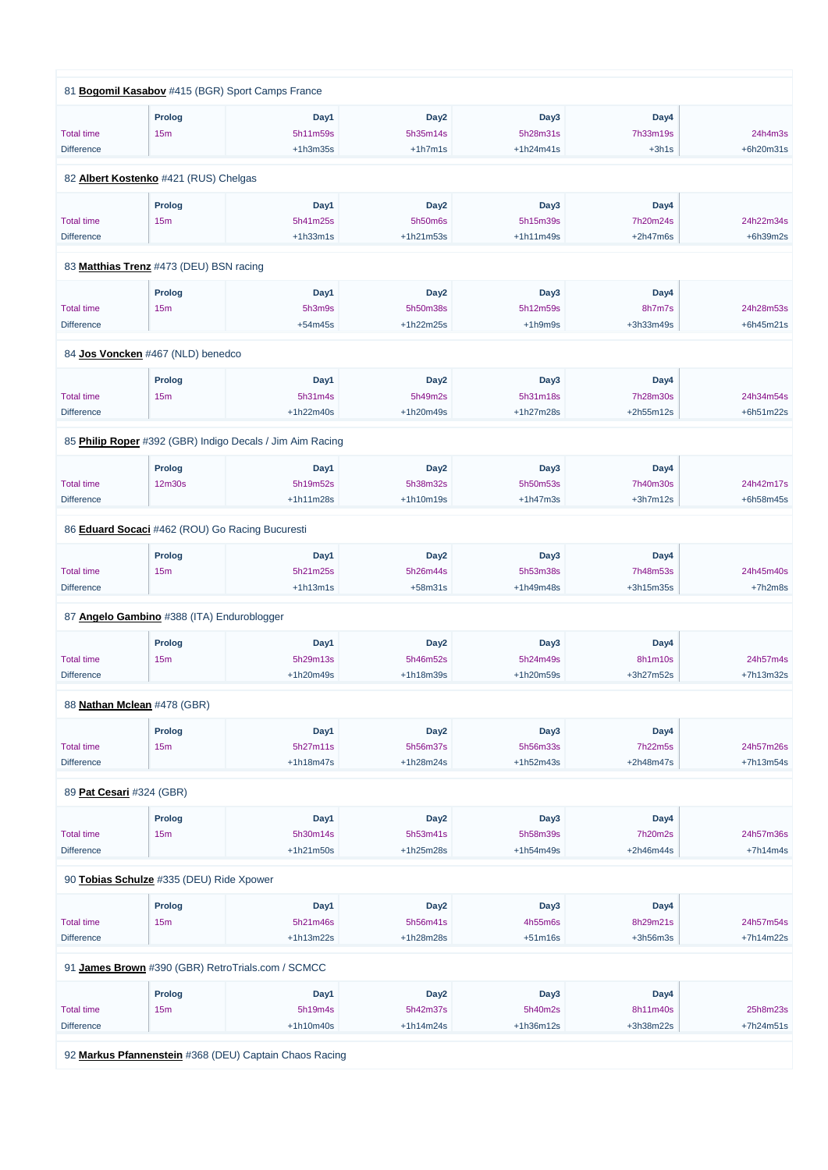|                          |                                                 | 81 Bogomil Kasabov #415 (BGR) Sport Camps France          |                  |                  |             |             |
|--------------------------|-------------------------------------------------|-----------------------------------------------------------|------------------|------------------|-------------|-------------|
|                          |                                                 |                                                           |                  |                  |             |             |
|                          | <b>Prolog</b>                                   | Day1                                                      | Day <sub>2</sub> | Day3             | Day4        |             |
| <b>Total time</b>        | 15m                                             | 5h11m59s                                                  | 5h35m14s         | 5h28m31s         | 7h33m19s    | 24h4m3s     |
| <b>Difference</b>        |                                                 | $+1h3m35s$                                                | $+1h7m1s$        | $+1h24m41s$      | $+3h1s$     | +6h20m31s   |
|                          | 82 Albert Kostenko #421 (RUS) Chelgas           |                                                           |                  |                  |             |             |
|                          | Prolog                                          | Day1                                                      | Day <sub>2</sub> | Day3             | Day4        |             |
| <b>Total time</b>        | 15m                                             | 5h41m25s                                                  | 5h50m6s          | 5h15m39s         | 7h20m24s    | 24h22m34s   |
| <b>Difference</b>        |                                                 | $+1h33m1s$                                                | $+1h21m53s$      | $+1h11m49s$      | $+2h47m6s$  | $+6h39m2s$  |
|                          |                                                 |                                                           |                  |                  |             |             |
|                          | 83 Matthias Trenz #473 (DEU) BSN racing         |                                                           |                  |                  |             |             |
|                          | Prolog                                          | Day1                                                      | Day <sub>2</sub> | Day <sub>3</sub> | Day4        |             |
| <b>Total time</b>        | 15m                                             | 5h3m9s                                                    | 5h50m38s         | 5h12m59s         | 8h7m7s      | 24h28m53s   |
| <b>Difference</b>        |                                                 | $+54m45s$                                                 | +1h22m25s        | $+1h9m9s$        | +3h33m49s   | $+6h45m21s$ |
|                          |                                                 |                                                           |                  |                  |             |             |
|                          | 84 Jos Voncken #467 (NLD) benedco               |                                                           |                  |                  |             |             |
|                          | Prolog                                          | Day1                                                      | Day <sub>2</sub> | Day3             | Day4        |             |
| <b>Total time</b>        | 15 <sub>m</sub>                                 | 5h31m4s                                                   | 5h49m2s          | 5h31m18s         | 7h28m30s    | 24h34m54s   |
| <b>Difference</b>        |                                                 | +1h22m40s                                                 | +1h20m49s        | +1h27m28s        | $+2h55m12s$ | +6h51m22s   |
|                          |                                                 | 85 Philip Roper #392 (GBR) Indigo Decals / Jim Aim Racing |                  |                  |             |             |
|                          | <b>Prolog</b>                                   | Day1                                                      | Day <sub>2</sub> | Day3             | Day4        |             |
| <b>Total time</b>        | 12 <sub>m30s</sub>                              | 5h19m52s                                                  | 5h38m32s         | 5h50m53s         | 7h40m30s    | 24h42m17s   |
| <b>Difference</b>        |                                                 | $+1h11m28s$                                               | +1h10m19s        | $+1h47m3s$       | $+3h7m12s$  | +6h58m45s   |
|                          |                                                 |                                                           |                  |                  |             |             |
|                          | 86 Eduard Socaci #462 (ROU) Go Racing Bucuresti |                                                           |                  |                  |             |             |
|                          | <b>Prolog</b>                                   | Day1                                                      | Day <sub>2</sub> | Day3             | Day4        |             |
| <b>Total time</b>        | 15m                                             | 5h21m25s                                                  | 5h26m44s         | 5h53m38s         | 7h48m53s    | 24h45m40s   |
| <b>Difference</b>        |                                                 | $+1h13m1s$                                                | $+58m31s$        | +1h49m48s        | +3h15m35s   | +7h2m8s     |
|                          | 87 Angelo Gambino #388 (ITA) Enduroblogger      |                                                           |                  |                  |             |             |
|                          |                                                 |                                                           |                  |                  |             |             |
|                          | <b>Prolog</b>                                   | Day1                                                      | Day <sub>2</sub> | Day3             | Day4        |             |
| <b>Total time</b>        | 15m                                             | 5h29m13s                                                  | 5h46m52s         | 5h24m49s         | 8h1m10s     | 24h57m4s    |
| <b>Difference</b>        |                                                 | +1h20m49s                                                 | +1h18m39s        | +1h20m59s        | +3h27m52s   | +7h13m32s   |
|                          | 88 Nathan Mclean #478 (GBR)                     |                                                           |                  |                  |             |             |
|                          | <b>Prolog</b>                                   | Day1                                                      | Day <sub>2</sub> | Day3             | Day4        |             |
| <b>Total time</b>        | 15m                                             | 5h27m11s                                                  | 5h56m37s         | 5h56m33s         | 7h22m5s     | 24h57m26s   |
| <b>Difference</b>        |                                                 | $+1h18m47s$                                               | +1h28m24s        | +1h52m43s        | $+2h48m47s$ | +7h13m54s   |
|                          |                                                 |                                                           |                  |                  |             |             |
| 89 Pat Cesari #324 (GBR) |                                                 |                                                           |                  |                  |             |             |
|                          | Prolog                                          | Day1                                                      | Day <sub>2</sub> | Day3             | Day4        |             |
| <b>Total time</b>        | 15m                                             | 5h30m14s                                                  | 5h53m41s         | 5h58m39s         | 7h20m2s     | 24h57m36s   |
| <b>Difference</b>        |                                                 | $+1h21m50s$                                               | +1h25m28s        | $+1h54m49s$      | $+2h46m44s$ | $+7h14m4s$  |
|                          |                                                 |                                                           |                  |                  |             |             |

90 **[Tobias Schulze](https://www.redbullromaniacs.com/for-competitors/profile/?e=rbr2019&b=335)** #335 (DEU) Ride Xpower

|                                                        | 00 <b>TODICO OUTRILO</b> 11000 (DEO) THRO APONOI  |             |                  |             |             |             |  |  |  |
|--------------------------------------------------------|---------------------------------------------------|-------------|------------------|-------------|-------------|-------------|--|--|--|
|                                                        | Prolog                                            | Day1        | Day <sub>2</sub> | Day3        | Day4        |             |  |  |  |
| <b>Total time</b>                                      | 15 <sub>m</sub>                                   | 5h21m46s    | 5h56m41s         | 4h55m6s     | 8h29m21s    | 24h57m54s   |  |  |  |
| <b>Difference</b>                                      |                                                   | $+1h13m22s$ | $+1h28m28s$      | $+51m16s$   | $+3h56m3s$  | $+7h14m22s$ |  |  |  |
|                                                        | 91 James Brown #390 (GBR) RetroTrials.com / SCMCC |             |                  |             |             |             |  |  |  |
|                                                        | <b>Prolog</b>                                     | Day1        | Day <sub>2</sub> | Day3        | Day4        |             |  |  |  |
| <b>Total time</b>                                      | 15 <sub>m</sub>                                   | 5h19m4s     | 5h42m37s         | 5h40m2s     | 8h11m40s    | 25h8m23s    |  |  |  |
| <b>Difference</b>                                      |                                                   | $+1h10m40s$ | $+1h14m24s$      | $+1h36m12s$ | $+3h38m22s$ | $+7h24m51s$ |  |  |  |
| 92 Markus Pfannenstein #368 (DEU) Captain Chaos Racing |                                                   |             |                  |             |             |             |  |  |  |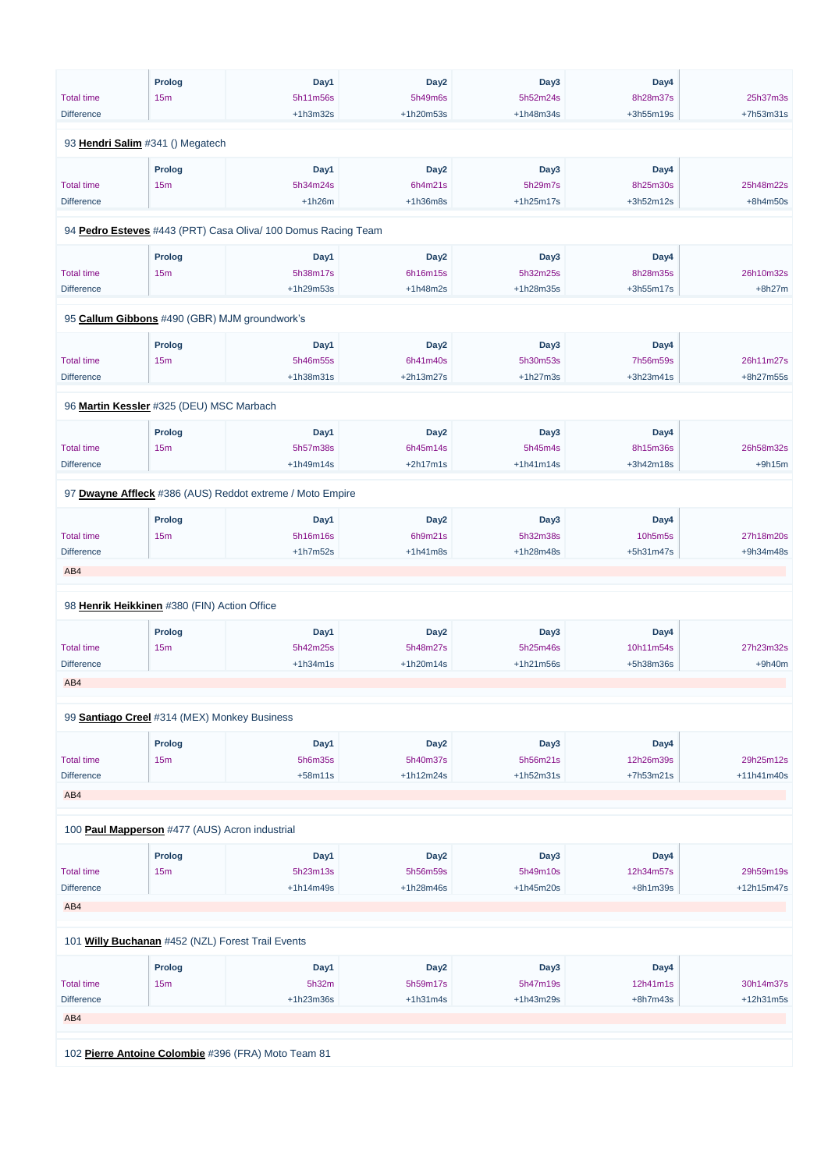|                                                | <b>Prolog</b> | Day1                                                          | Day <sub>2</sub> | Day3             | Day4        |              |
|------------------------------------------------|---------------|---------------------------------------------------------------|------------------|------------------|-------------|--------------|
| <b>Total time</b>                              | 15m           | 5h11m56s                                                      | 5h49m6s          | 5h52m24s         | 8h28m37s    | 25h37m3s     |
| <b>Difference</b>                              |               | $+1h3m32s$                                                    | +1h20m53s        | +1h48m34s        | +3h55m19s   | +7h53m31s    |
| 93 Hendri Salim #341 () Megatech               |               |                                                               |                  |                  |             |              |
|                                                | <b>Prolog</b> | Day1                                                          | Day <sub>2</sub> | Day <sub>3</sub> | Day4        |              |
| <b>Total time</b>                              | 15m           | 5h34m24s                                                      | 6h4m21s          | 5h29m7s          | 8h25m30s    | 25h48m22s    |
| <b>Difference</b>                              |               | $+1h26m$                                                      | $+1h36m8s$       | $+1h25m17s$      | +3h52m12s   | $+8h4m50s$   |
|                                                |               | 94 Pedro Esteves #443 (PRT) Casa Oliva/ 100 Domus Racing Team |                  |                  |             |              |
|                                                | Prolog        | Day1                                                          | Day <sub>2</sub> | Day <sub>3</sub> | Day4        |              |
| <b>Total time</b>                              | 15m           | 5h38m17s                                                      | 6h16m15s         | 5h32m25s         | 8h28m35s    | 26h10m32s    |
| <b>Difference</b>                              |               | +1h29m53s                                                     | $+1h48m2s$       | +1h28m35s        | +3h55m17s   | $+8h27m$     |
|                                                |               |                                                               |                  |                  |             |              |
|                                                |               | 95 Callum Gibbons #490 (GBR) MJM groundwork's                 |                  |                  |             |              |
|                                                | <b>Prolog</b> | Day1                                                          | Day <sub>2</sub> | Day3             | Day4        |              |
| <b>Total time</b>                              | 15m           | 5h46m55s                                                      | 6h41m40s         | 5h30m53s         | 7h56m59s    | 26h11m27s    |
| <b>Difference</b>                              |               | +1h38m31s                                                     | +2h13m27s        | $+1h27m3s$       | +3h23m41s   | +8h27m55s    |
| 96 Martin Kessler #325 (DEU) MSC Marbach       |               |                                                               |                  |                  |             |              |
|                                                | <b>Prolog</b> | Day1                                                          | Day <sub>2</sub> | Day3             | Day4        |              |
| <b>Total time</b>                              | 15m           | 5h57m38s                                                      | 6h45m14s         | 5h45m4s          | 8h15m36s    | 26h58m32s    |
| <b>Difference</b>                              |               | $+1h49m14s$                                                   | $+2h17m1s$       | $+1h41m14s$      | $+3h42m18s$ | $+9h15m$     |
|                                                |               |                                                               |                  |                  |             |              |
|                                                |               | 97 Dwayne Affleck #386 (AUS) Reddot extreme / Moto Empire     |                  |                  |             |              |
|                                                | Prolog        | Day1                                                          | Day <sub>2</sub> | Day3             | Day4        |              |
| <b>Total time</b>                              | 15m           | 5h16m16s                                                      | 6h9m21s          | 5h32m38s         | 10h5m5s     | 27h18m20s    |
| <b>Difference</b>                              |               | $+1h7m52s$                                                    | $+1h41m8s$       | +1h28m48s        | +5h31m47s   | +9h34m48s    |
| AB4                                            |               |                                                               |                  |                  |             |              |
|                                                |               |                                                               |                  |                  |             |              |
| 98 Henrik Heikkinen #380 (FIN) Action Office   |               |                                                               |                  |                  |             |              |
|                                                | <b>Prolog</b> | Day1                                                          | Day <sub>2</sub> | Day3             | Day4        |              |
| <b>Total time</b>                              | 15m           | 5h42m25s                                                      | 5h48m27s         | 5h25m46s         | 10h11m54s   | 27h23m32s    |
| <b>Difference</b>                              |               | $+1h34m1s$                                                    | $+1h20m14s$      | +1h21m56s        | +5h38m36s   | $+9h40m$     |
| AB4                                            |               |                                                               |                  |                  |             |              |
| 99 Santiago Creel #314 (MEX) Monkey Business   |               |                                                               |                  |                  |             |              |
|                                                | Prolog        | Day1                                                          | Day <sub>2</sub> | Day <sub>3</sub> | Day4        |              |
| <b>Total time</b>                              | 15m           | 5h6m35s                                                       | 5h40m37s         | 5h56m21s         | 12h26m39s   | 29h25m12s    |
| <b>Difference</b>                              |               | $+58m11s$                                                     | $+1h12m24s$      | $+1h52m31s$      | +7h53m21s   | $+11h41m40s$ |
| AB4                                            |               |                                                               |                  |                  |             |              |
|                                                |               |                                                               |                  |                  |             |              |
| 100 Paul Mapperson #477 (AUS) Acron industrial |               |                                                               |                  |                  |             |              |
|                                                | <b>Prolog</b> | Day1                                                          | Day <sub>2</sub> | Day3             | Day4        |              |

Total time

15m

5h23m13s

5h56m59s

5h49m10s

12h34m57s

29h59m19s

| <b>Difference</b> |                                                     | $+1h14m49s$ | $+1h28m46s$      | $+1h45m20s$ | $+8h1m39s$ | $+12h15m47s$ |
|-------------------|-----------------------------------------------------|-------------|------------------|-------------|------------|--------------|
|                   |                                                     |             |                  |             |            |              |
| AB4               |                                                     |             |                  |             |            |              |
|                   |                                                     |             |                  |             |            |              |
|                   |                                                     |             |                  |             |            |              |
|                   | 101 Willy Buchanan #452 (NZL) Forest Trail Events   |             |                  |             |            |              |
|                   |                                                     |             |                  |             |            |              |
|                   | Prolog                                              | Day1        | Day <sub>2</sub> | Day3        | Day4       |              |
|                   |                                                     |             |                  |             | 12h41m1s   |              |
| <b>Total time</b> | 15 <sub>m</sub>                                     | 5h32m       | 5h59m17s         | 5h47m19s    |            | 30h14m37s    |
| <b>Difference</b> |                                                     | $+1h23m36s$ | $+1h31m4s$       | $+1h43m29s$ | $+8h7m43s$ | $+12h31m5s$  |
|                   |                                                     |             |                  |             |            |              |
| AB4               |                                                     |             |                  |             |            |              |
|                   |                                                     |             |                  |             |            |              |
|                   |                                                     |             |                  |             |            |              |
|                   | 102 Pierre Antoine Colombie #396 (FRA) Moto Team 81 |             |                  |             |            |              |
|                   |                                                     |             |                  |             |            |              |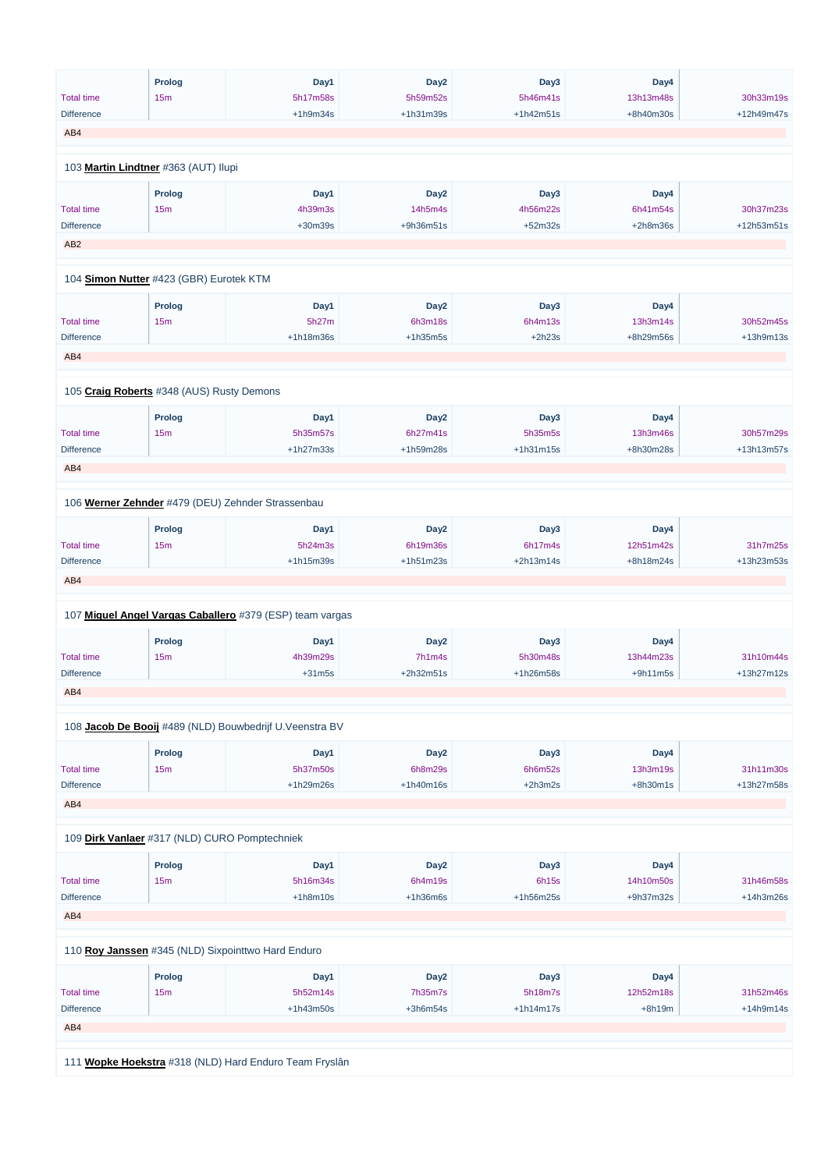|                                               | <b>Prolog</b> | Day1                                                     | Day <sub>2</sub> | Day3        | Day4       |             |
|-----------------------------------------------|---------------|----------------------------------------------------------|------------------|-------------|------------|-------------|
| <b>Total time</b>                             | 15m           | 5h17m58s                                                 | 5h59m52s         | 5h46m41s    | 13h13m48s  | 30h33m19s   |
| <b>Difference</b>                             |               | $+1h9m34s$                                               | +1h31m39s        | $+1h42m51s$ | +8h40m30s  | +12h49m47s  |
| AB4                                           |               |                                                          |                  |             |            |             |
|                                               |               |                                                          |                  |             |            |             |
| 103 Martin Lindtner #363 (AUT) Ilupi          |               |                                                          |                  |             |            |             |
|                                               | Prolog        | Day1                                                     | Day <sub>2</sub> | Day3        | Day4       |             |
| <b>Total time</b>                             | 15m           | 4h39m3s                                                  | 14h5m4s          | 4h56m22s    | 6h41m54s   | 30h37m23s   |
| <b>Difference</b>                             |               | +30m39s                                                  | +9h36m51s        | $+52m32s$   | $+2h8m36s$ | +12h53m51s  |
| AB <sub>2</sub>                               |               |                                                          |                  |             |            |             |
| 104 Simon Nutter #423 (GBR) Eurotek KTM       |               |                                                          |                  |             |            |             |
|                                               |               |                                                          |                  |             |            |             |
|                                               | <b>Prolog</b> | Day1                                                     | Day <sub>2</sub> | Day3        | Day4       |             |
| <b>Total time</b>                             | 15m           | 5h27m                                                    | 6h3m18s          | 6h4m13s     | 13h3m14s   | 30h52m45s   |
| <b>Difference</b>                             |               | +1h18m36s                                                | $+1h35m5s$       | $+2h23s$    | +8h29m56s  | $+13h9m13s$ |
| AB4                                           |               |                                                          |                  |             |            |             |
|                                               |               |                                                          |                  |             |            |             |
| 105 Craig Roberts #348 (AUS) Rusty Demons     |               |                                                          |                  |             |            |             |
|                                               | <b>Prolog</b> | Day1                                                     | Day <sub>2</sub> | Day3        | Day4       |             |
| <b>Total time</b>                             | 15m           | 5h35m57s                                                 | 6h27m41s         | 5h35m5s     | 13h3m46s   | 30h57m29s   |
| <b>Difference</b>                             |               | $+1h27m33s$                                              | +1h59m28s        | $+1h31m15s$ | +8h30m28s  | +13h13m57s  |
| AB4                                           |               |                                                          |                  |             |            |             |
|                                               |               |                                                          |                  |             |            |             |
|                                               |               | 106 Werner Zehnder #479 (DEU) Zehnder Strassenbau        |                  |             |            |             |
|                                               | <b>Prolog</b> | Day1                                                     | Day <sub>2</sub> | Day3        | Day4       |             |
| <b>Total time</b>                             | 15m           | 5h24m3s                                                  | 6h19m36s         | 6h17m4s     | 12h51m42s  | 31h7m25s    |
| Difference                                    |               | +1h15m39s                                                | +1h51m23s        | $+2h13m14s$ | +8h18m24s  | +13h23m53s  |
| AB4                                           |               |                                                          |                  |             |            |             |
|                                               |               |                                                          |                  |             |            |             |
|                                               |               | 107 Miguel Angel Vargas Caballero #379 (ESP) team vargas |                  |             |            |             |
|                                               | <b>Prolog</b> | Day1                                                     | Day <sub>2</sub> | Day3        | Day4       |             |
| <b>Total time</b>                             | 15m           | 4h39m29s                                                 | 7h1m4s           | 5h30m48s    | 13h44m23s  | 31h10m44s   |
| <b>Difference</b>                             |               | $+31m5s$                                                 | +2h32m51s        | +1h26m58s   | $+9h11m5s$ | +13h27m12s  |
| AB4                                           |               |                                                          |                  |             |            |             |
|                                               |               |                                                          |                  |             |            |             |
|                                               |               | 108 Jacob De Booij #489 (NLD) Bouwbedrijf U.Veenstra BV  |                  |             |            |             |
|                                               | <b>Prolog</b> | Day1                                                     | Day <sub>2</sub> | Day3        | Day4       |             |
| <b>Total time</b>                             | 15m           | 5h37m50s                                                 | 6h8m29s          | 6h6m52s     | 13h3m19s   | 31h11m30s   |
| Difference                                    |               | +1h29m26s                                                | +1h40m16s        | $+2h3m2s$   | $+8h30m1s$ | +13h27m58s  |
| AB4                                           |               |                                                          |                  |             |            |             |
|                                               |               |                                                          |                  |             |            |             |
| 109 Dirk Vanlaer #317 (NLD) CURO Pomptechniek |               |                                                          |                  |             |            |             |
|                                               | <b>Prolog</b> | Day1                                                     | Day <sub>2</sub> | Day3        | Day4       |             |

| <b>Total time</b> | 15m           | 5h16m34s                                           | 6h4m19s    | 6h15s       | 14h10m50s   | 31h46m58s   |
|-------------------|---------------|----------------------------------------------------|------------|-------------|-------------|-------------|
| <b>Difference</b> |               | $+1h8m10s$                                         | $+1h36m6s$ | $+1h56m25s$ | $+9h37m32s$ | $+14h3m26s$ |
| AB4               |               |                                                    |            |             |             |             |
|                   |               |                                                    |            |             |             |             |
|                   |               |                                                    |            |             |             |             |
|                   |               | 110 Roy Janssen #345 (NLD) Sixpointtwo Hard Enduro |            |             |             |             |
|                   |               |                                                    |            |             |             |             |
|                   | <b>Prolog</b> | Day1                                               | Day2       | Day3        | Day4        |             |
| <b>Total time</b> | 15m           | 5h52m14s                                           | 7h35m7s    | 5h18m7s     | 12h52m18s   | 31h52m46s   |
| <b>Difference</b> |               | $+1h43m50s$                                        | $+3h6m54s$ | $+1h14m17s$ | $+8h19m$    | $+14h9m14s$ |
| AB4               |               |                                                    |            |             |             |             |
|                   |               |                                                    |            |             |             |             |
|                   |               |                                                    |            |             |             |             |
| 111               |               | Wopke Hoekstra #318 (NLD) Hard Enduro Team Fryslân |            |             |             |             |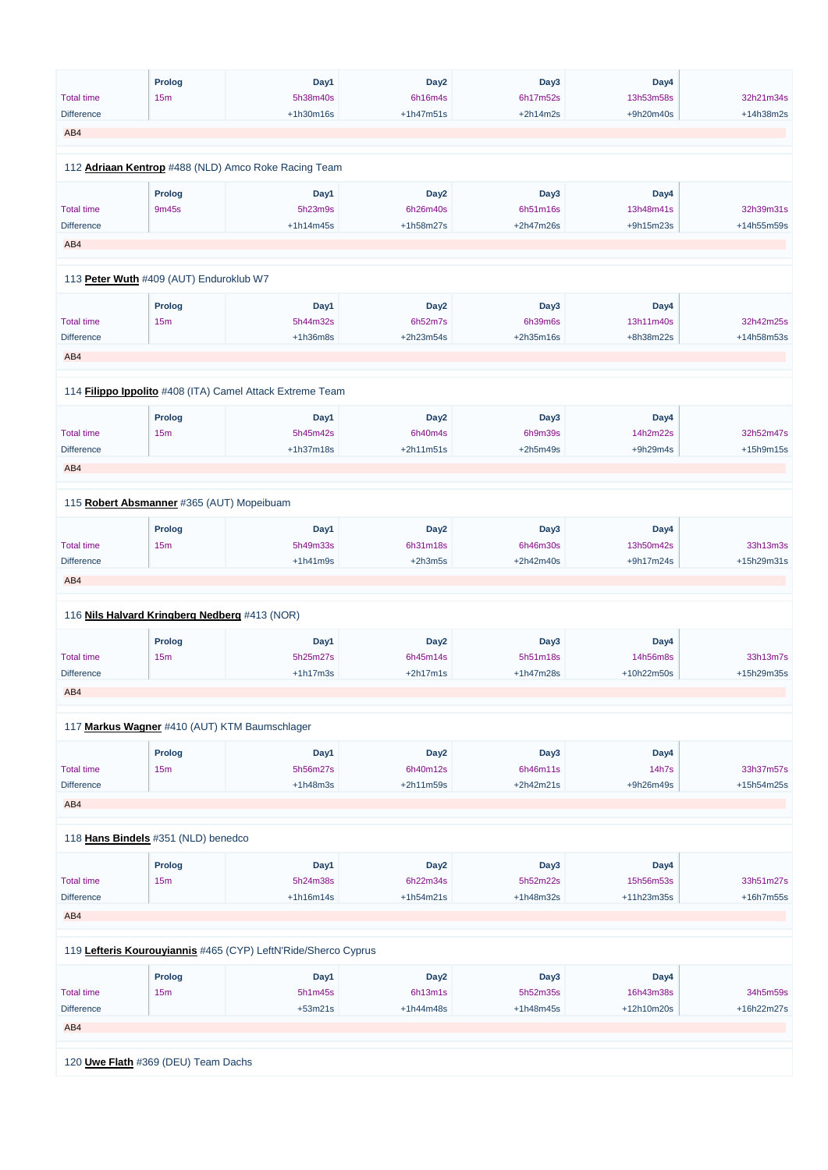|                   | <b>Prolog</b>                                 | Day1                                                      | Day <sub>2</sub>            | Day3            | Day4              |            |
|-------------------|-----------------------------------------------|-----------------------------------------------------------|-----------------------------|-----------------|-------------------|------------|
| <b>Total time</b> | 15m                                           | 5h38m40s                                                  | 6h16m4s                     | 6h17m52s        | 13h53m58s         | 32h21m34s  |
| <b>Difference</b> |                                               | +1h30m16s                                                 | $+1h47m51s$                 | $+2h14m2s$      | +9h20m40s         | +14h38m2s  |
| AB4               |                                               |                                                           |                             |                 |                   |            |
|                   |                                               |                                                           |                             |                 |                   |            |
|                   |                                               | 112 Adriaan Kentrop #488 (NLD) Amco Roke Racing Team      |                             |                 |                   |            |
|                   | Prolog                                        | Day1                                                      | Day <sub>2</sub>            | Day3            | Day4              |            |
| <b>Total time</b> | 9m45s                                         | 5h23m9s                                                   | 6h26m40s                    | 6h51m16s        | 13h48m41s         | 32h39m31s  |
| <b>Difference</b> |                                               | $+1h14m45s$                                               | +1h58m27s                   | +2h47m26s       | +9h15m23s         | +14h55m59s |
| AB4               |                                               |                                                           |                             |                 |                   |            |
|                   | 113 Peter Wuth #409 (AUT) Enduroklub W7       |                                                           |                             |                 |                   |            |
|                   |                                               |                                                           |                             |                 |                   |            |
| <b>Total time</b> | <b>Prolog</b><br>15m                          | Day1<br>5h44m32s                                          | Day <sub>2</sub><br>6h52m7s | Day3<br>6h39m6s | Day4<br>13h11m40s | 32h42m25s  |
|                   |                                               | $+1h36m8s$                                                | +2h23m54s                   | +2h35m16s       |                   | +14h58m53s |
| <b>Difference</b> |                                               |                                                           |                             |                 | +8h38m22s         |            |
| AB4               |                                               |                                                           |                             |                 |                   |            |
|                   |                                               |                                                           |                             |                 |                   |            |
|                   |                                               | 114 Filippo Ippolito #408 (ITA) Camel Attack Extreme Team |                             |                 |                   |            |
|                   | <b>Prolog</b>                                 | Day1                                                      | Day <sub>2</sub>            | Day3            | Day4              |            |
| <b>Total time</b> | 15m                                           | 5h45m42s                                                  | 6h40m4s                     | 6h9m39s         | 14h2m22s          | 32h52m47s  |
| <b>Difference</b> |                                               | $+1h37m18s$                                               | $+2h11m51s$                 | $+2h5m49s$      | $+9h29m4s$        | +15h9m15s  |
| AB4               |                                               |                                                           |                             |                 |                   |            |
|                   |                                               |                                                           |                             |                 |                   |            |
|                   | 115 Robert Absmanner #365 (AUT) Mopeibuam     |                                                           |                             |                 |                   |            |
|                   | <b>Prolog</b>                                 | Day1                                                      | Day <sub>2</sub>            | Day3            | Day4              |            |
| <b>Total time</b> | 15m                                           | 5h49m33s                                                  | 6h31m18s                    | 6h46m30s        | 13h50m42s         | 33h13m3s   |
| <b>Difference</b> |                                               | $+1h41m9s$                                                | $+2h3m5s$                   | +2h42m40s       | +9h17m24s         | +15h29m31s |
| AB4               |                                               |                                                           |                             |                 |                   |            |
|                   |                                               |                                                           |                             |                 |                   |            |
|                   | 116 Nils Halvard Kringberg Nedberg #413 (NOR) |                                                           |                             |                 |                   |            |
|                   | <b>Prolog</b>                                 | Day1                                                      | Day <sub>2</sub>            | Day3            | Day4              |            |
| <b>Total time</b> | 15m                                           | 5h25m27s                                                  | 6h45m14s                    | 5h51m18s        | 14h56m8s          | 33h13m7s   |
| <b>Difference</b> |                                               | $+1h17m3s$                                                | $+2h17m1s$                  | $+1h47m28s$     | +10h22m50s        | +15h29m35s |
| AB4               |                                               |                                                           |                             |                 |                   |            |
|                   |                                               |                                                           |                             |                 |                   |            |
|                   | 117 Markus Wagner #410 (AUT) KTM Baumschlager |                                                           |                             |                 |                   |            |
|                   | <b>Prolog</b>                                 | Day1                                                      | Day <sub>2</sub>            | Day3            | Day4              |            |
| <b>Total time</b> | 15m                                           | 5h56m27s                                                  | 6h40m12s                    | 6h46m11s        | 14h7s             | 33h37m57s  |
| <b>Difference</b> |                                               | $+1h48m3s$                                                | $+2h11m59s$                 | $+2h42m21s$     | +9h26m49s         | +15h54m25s |
| AB4               |                                               |                                                           |                             |                 |                   |            |
|                   |                                               |                                                           |                             |                 |                   |            |
|                   | 118 Hans Bindels #351 (NLD) benedco           |                                                           |                             |                 |                   |            |
|                   | <b>Prolog</b>                                 | Day1                                                      | Day <sub>2</sub>            | Day3            | Day4              |            |
|                   |                                               |                                                           |                             |                 |                   |            |

| <b>Total time</b> | 15 <sub>m</sub>                     | 5h24m38s                                                       | 6h22m34s    | 5h52m22s    | 15h56m53s  | 33h51m27s   |
|-------------------|-------------------------------------|----------------------------------------------------------------|-------------|-------------|------------|-------------|
| <b>Difference</b> |                                     | $+1h16m14s$                                                    | $+1h54m21s$ | $+1h48m32s$ | +11h23m35s | $+16h7m55s$ |
| AB4               |                                     |                                                                |             |             |            |             |
|                   |                                     | 119 Lefteris Kourouyiannis #465 (CYP) LeftN'Ride/Sherco Cyprus |             |             |            |             |
|                   | <b>Prolog</b>                       | Day1                                                           | Day2        | Day3        | Day4       |             |
| <b>Total time</b> | 15 <sub>m</sub>                     | 5h1m45s                                                        | 6h13m1s     | 5h52m35s    | 16h43m38s  | 34h5m59s    |
| <b>Difference</b> |                                     | $+53m21s$                                                      | $+1h44m48s$ | $+1h48m45s$ | +12h10m20s | +16h22m27s  |
| AB4               |                                     |                                                                |             |             |            |             |
|                   |                                     |                                                                |             |             |            |             |
|                   | 120 Uwe Flath #369 (DEU) Team Dachs |                                                                |             |             |            |             |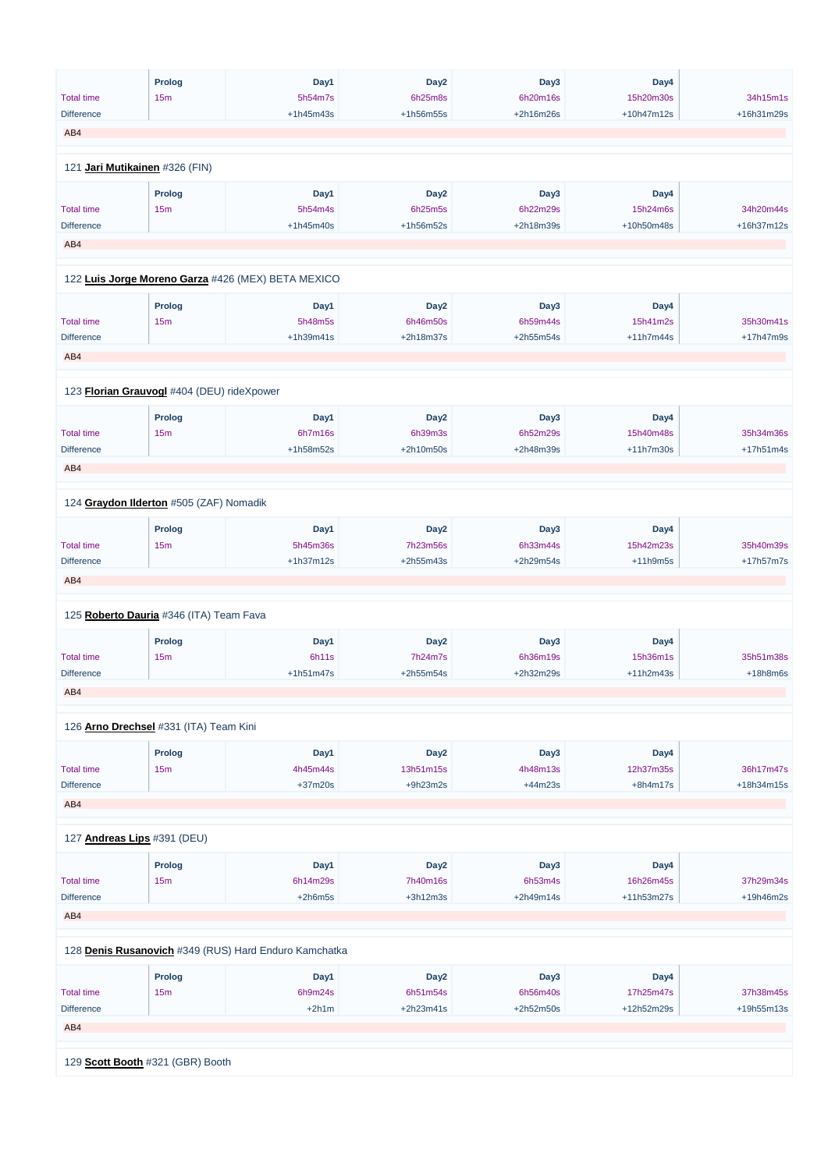| <b>Prolog</b><br>Day1<br>Day <sub>2</sub><br>Day3<br>Day4<br><b>Total time</b><br>15m<br>5h54m7s<br>6h25m8s<br>6h20m16s<br>15h20m30s<br>+1h45m43s<br>+2h16m26s<br>+10h47m12s<br><b>Difference</b><br>+1h56m55s<br>AB4<br>121 Jari Mutikainen #326 (FIN)<br><b>Prolog</b><br>Day1<br>Day <sub>2</sub><br>Day3<br>Day4<br><b>Total time</b><br>15m<br>5h54m4s<br>6h25m5s<br>6h22m29s<br>15h24m6s<br>+10h50m48s<br><b>Difference</b><br>$+1h45m40s$<br>+1h56m52s<br>+2h18m39s<br>AB4 | 34h15m1s<br>+16h31m29s<br>34h20m44s<br>+16h37m12s |
|-----------------------------------------------------------------------------------------------------------------------------------------------------------------------------------------------------------------------------------------------------------------------------------------------------------------------------------------------------------------------------------------------------------------------------------------------------------------------------------|---------------------------------------------------|
|                                                                                                                                                                                                                                                                                                                                                                                                                                                                                   |                                                   |
|                                                                                                                                                                                                                                                                                                                                                                                                                                                                                   |                                                   |
|                                                                                                                                                                                                                                                                                                                                                                                                                                                                                   |                                                   |
|                                                                                                                                                                                                                                                                                                                                                                                                                                                                                   |                                                   |
|                                                                                                                                                                                                                                                                                                                                                                                                                                                                                   |                                                   |
|                                                                                                                                                                                                                                                                                                                                                                                                                                                                                   |                                                   |
|                                                                                                                                                                                                                                                                                                                                                                                                                                                                                   |                                                   |
|                                                                                                                                                                                                                                                                                                                                                                                                                                                                                   |                                                   |
|                                                                                                                                                                                                                                                                                                                                                                                                                                                                                   |                                                   |
|                                                                                                                                                                                                                                                                                                                                                                                                                                                                                   |                                                   |
|                                                                                                                                                                                                                                                                                                                                                                                                                                                                                   |                                                   |
| 122 Luis Jorge Moreno Garza #426 (MEX) BETA MEXICO                                                                                                                                                                                                                                                                                                                                                                                                                                |                                                   |
| Day3<br><b>Prolog</b><br>Day1<br>Day <sub>2</sub><br>Day4                                                                                                                                                                                                                                                                                                                                                                                                                         |                                                   |
| <b>Total time</b><br>15m<br>5h48m5s<br>6h46m50s<br>6h59m44s<br>15h41m2s                                                                                                                                                                                                                                                                                                                                                                                                           | 35h30m41s                                         |
| +2h18m37s<br><b>Difference</b><br>$+1h39m41s$<br>+2h55m54s<br>$+11h7m44s$                                                                                                                                                                                                                                                                                                                                                                                                         | +17h47m9s                                         |
| AB4                                                                                                                                                                                                                                                                                                                                                                                                                                                                               |                                                   |
|                                                                                                                                                                                                                                                                                                                                                                                                                                                                                   |                                                   |
| 123 Florian Grauvogl #404 (DEU) rideXpower                                                                                                                                                                                                                                                                                                                                                                                                                                        |                                                   |
|                                                                                                                                                                                                                                                                                                                                                                                                                                                                                   |                                                   |
| <b>Prolog</b><br>Day1<br>Day <sub>2</sub><br>Day3<br>Day4                                                                                                                                                                                                                                                                                                                                                                                                                         |                                                   |
| <b>Total time</b><br>15m<br>6h7m16s<br>6h39m3s<br>6h52m29s<br>15h40m48s                                                                                                                                                                                                                                                                                                                                                                                                           | 35h34m36s                                         |
| <b>Difference</b><br>+1h58m52s<br>+2h10m50s<br>+2h48m39s<br>+11h7m30s                                                                                                                                                                                                                                                                                                                                                                                                             | +17h51m4s                                         |
| AB4                                                                                                                                                                                                                                                                                                                                                                                                                                                                               |                                                   |
|                                                                                                                                                                                                                                                                                                                                                                                                                                                                                   |                                                   |
| 124 Graydon Ilderton #505 (ZAF) Nomadik                                                                                                                                                                                                                                                                                                                                                                                                                                           |                                                   |
| Day <sub>2</sub><br>Day3<br><b>Prolog</b><br>Day1<br>Day4                                                                                                                                                                                                                                                                                                                                                                                                                         |                                                   |
| <b>Total time</b><br>15m<br>5h45m36s<br>7h23m56s<br>6h33m44s<br>15h42m23s                                                                                                                                                                                                                                                                                                                                                                                                         | 35h40m39s                                         |
| <b>Difference</b><br>$+1h37m12s$<br>+2h55m43s<br>+2h29m54s<br>$+11h9m5s$                                                                                                                                                                                                                                                                                                                                                                                                          | +17h57m7s                                         |
| AB4                                                                                                                                                                                                                                                                                                                                                                                                                                                                               |                                                   |
|                                                                                                                                                                                                                                                                                                                                                                                                                                                                                   |                                                   |
| 125 Roberto Dauria #346 (ITA) Team Fava                                                                                                                                                                                                                                                                                                                                                                                                                                           |                                                   |
| Day3<br><b>Prolog</b><br>Day1<br>Day <sub>2</sub><br>Day4                                                                                                                                                                                                                                                                                                                                                                                                                         |                                                   |
| <b>Total time</b><br>15m<br>6h11s<br>7h24m7s<br>15h36m1s<br>6h36m19s                                                                                                                                                                                                                                                                                                                                                                                                              | 35h51m38s                                         |
| <b>Difference</b><br>$+1h51m47s$<br>$+2h55m54s$<br>+2h32m29s<br>+11h2m43s                                                                                                                                                                                                                                                                                                                                                                                                         | $+18h8m6s$                                        |
| AB4                                                                                                                                                                                                                                                                                                                                                                                                                                                                               |                                                   |
|                                                                                                                                                                                                                                                                                                                                                                                                                                                                                   |                                                   |
| 126 Arno Drechsel #331 (ITA) Team Kini                                                                                                                                                                                                                                                                                                                                                                                                                                            |                                                   |
| <b>Prolog</b><br>Day1<br>Day <sub>2</sub><br>Day3<br>Day4                                                                                                                                                                                                                                                                                                                                                                                                                         |                                                   |
| <b>Total time</b><br>15m<br>4h45m44s<br>13h51m15s<br>4h48m13s<br>12h37m35s                                                                                                                                                                                                                                                                                                                                                                                                        | 36h17m47s                                         |
| <b>Difference</b><br>$+37m20s$<br>$+9h23m2s$<br>$+44m23s$<br>$+8h4m17s$                                                                                                                                                                                                                                                                                                                                                                                                           | +18h34m15s                                        |
| AB4                                                                                                                                                                                                                                                                                                                                                                                                                                                                               |                                                   |
|                                                                                                                                                                                                                                                                                                                                                                                                                                                                                   |                                                   |
| 127 Andreas Lips #391 (DEU)                                                                                                                                                                                                                                                                                                                                                                                                                                                       |                                                   |
| Day1<br>Day <sub>2</sub><br>Day3<br>Day4<br><b>Prolog</b>                                                                                                                                                                                                                                                                                                                                                                                                                         |                                                   |

Total time 15m 6h14m29s 7h40m16s 6h53m4s 16h26m45s 37h29m34s

| <b>Difference</b>                                     |               | $+2h6m5s$ | $+3h12m3s$       | $+2h49m14s$ | $+11h53m27s$ | $+19h46m2s$ |  |  |
|-------------------------------------------------------|---------------|-----------|------------------|-------------|--------------|-------------|--|--|
| AB4                                                   |               |           |                  |             |              |             |  |  |
|                                                       |               |           |                  |             |              |             |  |  |
| 128 Denis Rusanovich #349 (RUS) Hard Enduro Kamchatka |               |           |                  |             |              |             |  |  |
|                                                       |               |           |                  |             |              |             |  |  |
|                                                       | <b>Prolog</b> | Day1      | Day <sub>2</sub> | Day3        | Day4         |             |  |  |
| <b>Total time</b>                                     | 15m           | 6h9m24s   | 6h51m54s         | 6h56m40s    | 17h25m47s    | 37h38m45s   |  |  |
| <b>Difference</b>                                     |               | $+2h1m$   | $+2h23m41s$      | $+2h52m50s$ | +12h52m29s   | +19h55m13s  |  |  |
| AB4                                                   |               |           |                  |             |              |             |  |  |
|                                                       |               |           |                  |             |              |             |  |  |
| 129 Scott Booth #321 (GBR) Booth                      |               |           |                  |             |              |             |  |  |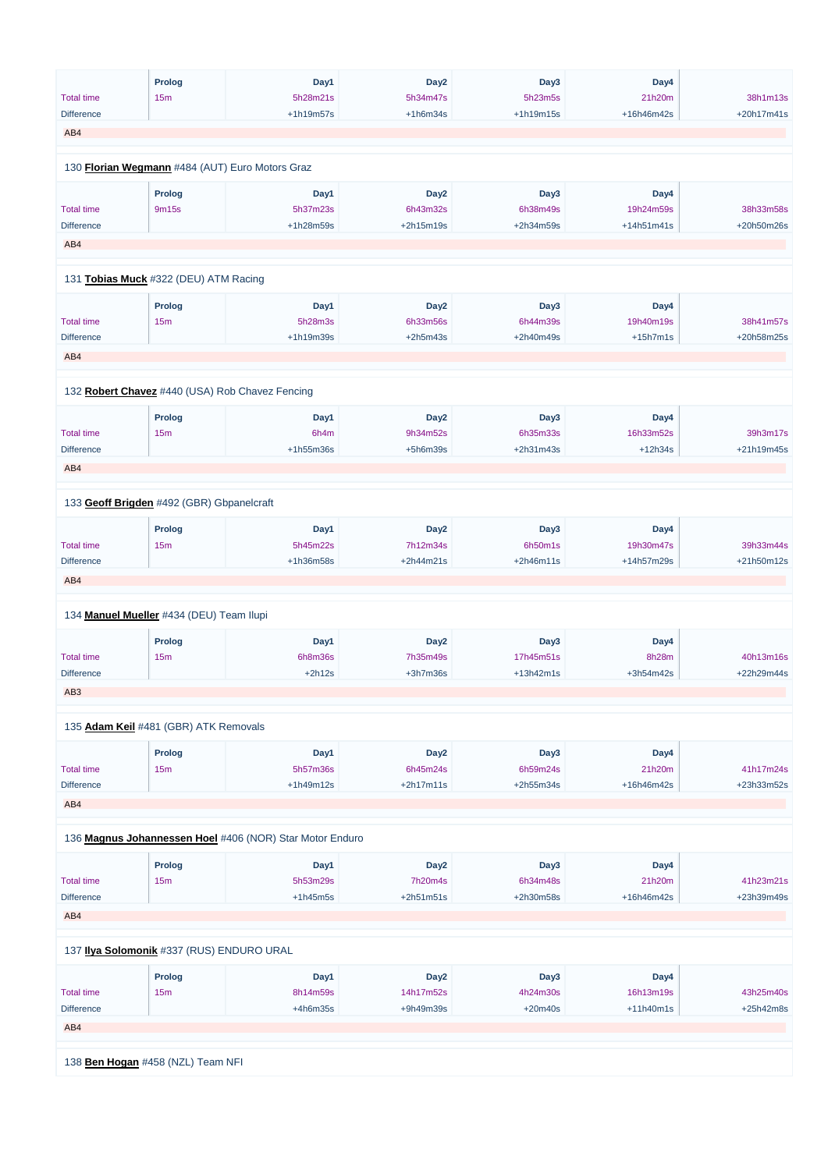|                                        | <b>Prolog</b>                                   | Day1                                                     | Day <sub>2</sub>       | Day3                  | Day4                    |                         |
|----------------------------------------|-------------------------------------------------|----------------------------------------------------------|------------------------|-----------------------|-------------------------|-------------------------|
| <b>Total time</b>                      | 15m                                             | 5h28m21s                                                 | 5h34m47s               | 5h23m5s               | 21h20m                  | 38h1m13s                |
| <b>Difference</b>                      |                                                 | +1h19m57s                                                | $+1h6m34s$             | +1h19m15s             | +16h46m42s              | +20h17m41s              |
| AB4                                    |                                                 |                                                          |                        |                       |                         |                         |
|                                        |                                                 |                                                          |                        |                       |                         |                         |
|                                        | 130 Florian Wegmann #484 (AUT) Euro Motors Graz |                                                          |                        |                       |                         |                         |
|                                        | Prolog                                          | Day1                                                     | Day <sub>2</sub>       | Day3                  | Day4                    |                         |
| <b>Total time</b>                      | 9m15s                                           | 5h37m23s                                                 | 6h43m32s               | 6h38m49s              | 19h24m59s               | 38h33m58s               |
| <b>Difference</b>                      |                                                 | +1h28m59s                                                | +2h15m19s              | +2h34m59s             | $+14h51m41s$            | +20h50m26s              |
| AB4                                    |                                                 |                                                          |                        |                       |                         |                         |
|                                        | 131 Tobias Muck #322 (DEU) ATM Racing           |                                                          |                        |                       |                         |                         |
|                                        |                                                 |                                                          |                        |                       |                         |                         |
|                                        | <b>Prolog</b>                                   | Day1                                                     | Day <sub>2</sub>       | Day3                  | Day4                    |                         |
| <b>Total time</b><br><b>Difference</b> | 15m                                             | 5h28m3s<br>+1h19m39s                                     | 6h33m56s<br>$+2h5m43s$ | 6h44m39s<br>+2h40m49s | 19h40m19s<br>$+15h7m1s$ | 38h41m57s<br>+20h58m25s |
|                                        |                                                 |                                                          |                        |                       |                         |                         |
| AB4                                    |                                                 |                                                          |                        |                       |                         |                         |
|                                        |                                                 |                                                          |                        |                       |                         |                         |
|                                        | 132 Robert Chavez #440 (USA) Rob Chavez Fencing |                                                          |                        |                       |                         |                         |
|                                        | <b>Prolog</b>                                   | Day1                                                     | Day <sub>2</sub>       | Day3                  | Day4                    |                         |
| <b>Total time</b>                      | 15m                                             | 6h4m                                                     | 9h34m52s               | 6h35m33s              | 16h33m52s               | 39h3m17s                |
| <b>Difference</b>                      |                                                 | $+1h55m36s$                                              | $+5h6m39s$             | +2h31m43s             | $+12h34s$               | +21h19m45s              |
| AB4                                    |                                                 |                                                          |                        |                       |                         |                         |
|                                        |                                                 |                                                          |                        |                       |                         |                         |
|                                        | 133 Geoff Brigden #492 (GBR) Gbpanelcraft       |                                                          |                        |                       |                         |                         |
|                                        | <b>Prolog</b>                                   | Day1                                                     | Day <sub>2</sub>       | Day3                  | Day4                    |                         |
| <b>Total time</b>                      | 15m                                             | 5h45m22s                                                 | 7h12m34s               | 6h50m1s               | 19h30m47s               | 39h33m44s               |
| <b>Difference</b>                      |                                                 | +1h36m58s                                                | +2h44m21s              | $+2h46m11s$           | +14h57m29s              | +21h50m12s              |
| AB4                                    |                                                 |                                                          |                        |                       |                         |                         |
|                                        |                                                 |                                                          |                        |                       |                         |                         |
|                                        | 134 Manuel Mueller #434 (DEU) Team Ilupi        |                                                          |                        |                       |                         |                         |
|                                        | <b>Prolog</b>                                   | Day1                                                     | Day <sub>2</sub>       | Day3                  | Day4                    |                         |
| <b>Total time</b>                      | 15m                                             | 6h8m36s                                                  | 7h35m49s               | 17h45m51s             | 8h28m                   | 40h13m16s               |
| <b>Difference</b>                      |                                                 | $+2h12s$                                                 | $+3h7m36s$             | $+13h42m1s$           | +3h54m42s               | +22h29m44s              |
| AB <sub>3</sub>                        |                                                 |                                                          |                        |                       |                         |                         |
|                                        | 135 Adam Keil #481 (GBR) ATK Removals           |                                                          |                        |                       |                         |                         |
|                                        |                                                 |                                                          |                        |                       |                         |                         |
|                                        | <b>Prolog</b>                                   | Day1                                                     | Day <sub>2</sub>       | Day3                  | Day4                    |                         |
| <b>Total time</b>                      | 15m                                             | 5h57m36s                                                 | 6h45m24s               | 6h59m24s              | 21h20m                  | 41h17m24s               |
| <b>Difference</b>                      |                                                 | $+1h49m12s$                                              | $+2h17m11s$            | +2h55m34s             | +16h46m42s              | +23h33m52s              |
| AB4                                    |                                                 |                                                          |                        |                       |                         |                         |
|                                        |                                                 |                                                          |                        |                       |                         |                         |
|                                        |                                                 | 136 Magnus Johannessen Hoel #406 (NOR) Star Motor Enduro |                        |                       |                         |                         |
|                                        | <b>Prolog</b>                                   | Day1                                                     | Day <sub>2</sub>       | Day3                  | Day4                    |                         |

| <b>Total time</b>                         | 15m                               | 5h53m29s   | 7h20m4s          | 6h34m48s    | 21h20m      | 41h23m21s   |  |  |  |
|-------------------------------------------|-----------------------------------|------------|------------------|-------------|-------------|-------------|--|--|--|
| <b>Difference</b>                         |                                   | $+1h45m5s$ | $+2h51m51s$      | $+2h30m58s$ | +16h46m42s  | +23h39m49s  |  |  |  |
| AB4                                       |                                   |            |                  |             |             |             |  |  |  |
| 137 Ilya Solomonik #337 (RUS) ENDURO URAL |                                   |            |                  |             |             |             |  |  |  |
|                                           | <b>Prolog</b>                     | Day1       | Day <sub>2</sub> | Day3        | Day4        |             |  |  |  |
| <b>Total time</b>                         | 15m                               | 8h14m59s   | 14h17m52s        | 4h24m30s    | 16h13m19s   | 43h25m40s   |  |  |  |
| <b>Difference</b>                         |                                   | $+4h6m35s$ | +9h49m39s        | $+20m40s$   | $+11h40m1s$ | $+25h42m8s$ |  |  |  |
| AB4                                       |                                   |            |                  |             |             |             |  |  |  |
|                                           |                                   |            |                  |             |             |             |  |  |  |
|                                           | 138 Ben Hogan #458 (NZL) Team NFI |            |                  |             |             |             |  |  |  |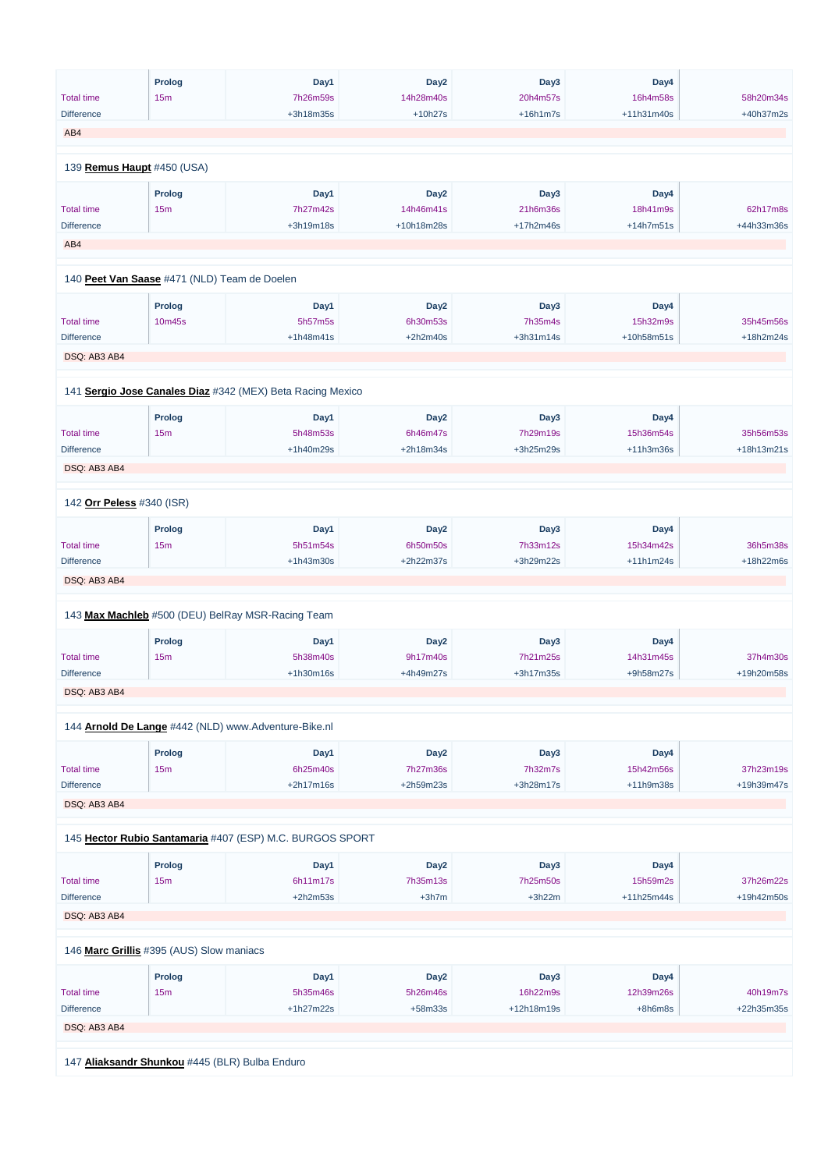|                                        | <b>Prolog</b>                                | Day1                                                       | Day <sub>2</sub>      | Day3                 | Day4                   |            |
|----------------------------------------|----------------------------------------------|------------------------------------------------------------|-----------------------|----------------------|------------------------|------------|
| <b>Total time</b>                      | 15m                                          | 7h26m59s                                                   | 14h28m40s             | 20h4m57s             | 16h4m58s               | 58h20m34s  |
| <b>Difference</b>                      |                                              | +3h18m35s                                                  | $+10h27s$             | $+16h1m7s$           | +11h31m40s             | +40h37m2s  |
| AB4                                    |                                              |                                                            |                       |                      |                        |            |
|                                        |                                              |                                                            |                       |                      |                        |            |
| 139 Remus Haupt #450 (USA)             |                                              |                                                            |                       |                      |                        |            |
|                                        | Prolog                                       | Day1                                                       | Day <sub>2</sub>      | Day3                 | Day4                   |            |
| <b>Total time</b>                      | 15m                                          | 7h27m42s                                                   | 14h46m41s             | 21h6m36s             | 18h41m9s               | 62h17m8s   |
| <b>Difference</b>                      |                                              | +3h19m18s                                                  | +10h18m28s            | +17h2m46s            | +14h7m51s              | +44h33m36s |
| AB4                                    |                                              |                                                            |                       |                      |                        |            |
|                                        | 140 Peet Van Saase #471 (NLD) Team de Doelen |                                                            |                       |                      |                        |            |
|                                        |                                              |                                                            |                       |                      |                        |            |
|                                        | <b>Prolog</b>                                | Day1                                                       | Day <sub>2</sub>      | Day3                 | Day4                   |            |
| <b>Total time</b>                      | 10m45s                                       | 5h57m5s                                                    | 6h30m53s              | 7h35m4s              | 15h32m9s               | 35h45m56s  |
| <b>Difference</b>                      |                                              | $+1h48m41s$                                                | $+2h2m40s$            | +3h31m14s            | +10h58m51s             | +18h2m24s  |
| DSQ: AB3 AB4                           |                                              |                                                            |                       |                      |                        |            |
|                                        |                                              |                                                            |                       |                      |                        |            |
|                                        |                                              | 141 Sergio Jose Canales Diaz #342 (MEX) Beta Racing Mexico |                       |                      |                        |            |
|                                        | <b>Prolog</b>                                | Day1                                                       | Day <sub>2</sub>      | Day3                 | Day4                   |            |
| <b>Total time</b>                      | 15m                                          | 5h48m53s                                                   | 6h46m47s              | 7h29m19s             | 15h36m54s              | 35h56m53s  |
| <b>Difference</b>                      |                                              | +1h40m29s                                                  | +2h18m34s             | +3h25m29s            | $+11h3m36s$            | +18h13m21s |
| DSQ: AB3 AB4                           |                                              |                                                            |                       |                      |                        |            |
|                                        |                                              |                                                            |                       |                      |                        |            |
| 142 Orr Peless #340 (ISR)              |                                              |                                                            |                       |                      |                        |            |
|                                        | <b>Prolog</b>                                | Day1                                                       | Day <sub>2</sub>      | Day3                 | Day4                   |            |
| <b>Total time</b>                      | 15m                                          | 5h51m54s                                                   | 6h50m50s              | 7h33m12s             | 15h34m42s              | 36h5m38s   |
| <b>Difference</b>                      |                                              | $+1h43m30s$                                                | +2h22m37s             | +3h29m22s            | $+11h1m24s$            | +18h22m6s  |
| DSQ: AB3 AB4                           |                                              |                                                            |                       |                      |                        |            |
|                                        |                                              |                                                            |                       |                      |                        |            |
|                                        |                                              | 143 Max Machleb #500 (DEU) BelRay MSR-Racing Team          |                       |                      |                        |            |
|                                        | <b>Prolog</b>                                | Day1                                                       | Day <sub>2</sub>      | Day3                 | Day4                   |            |
| <b>Total time</b>                      | 15m                                          | 5h38m40s                                                   | 9h17m40s              | 7h21m25s             | 14h31m45s              | 37h4m30s   |
| <b>Difference</b>                      |                                              | +1h30m16s                                                  | +4h49m27s             | +3h17m35s            | +9h58m27s              | +19h20m58s |
| DSQ: AB3 AB4                           |                                              |                                                            |                       |                      |                        |            |
|                                        |                                              | 144 Arnold De Lange #442 (NLD) www.Adventure-Bike.nl       |                       |                      |                        |            |
|                                        |                                              |                                                            |                       |                      |                        |            |
|                                        | <b>Prolog</b>                                | Day1                                                       | Day <sub>2</sub>      | Day3                 | Day4                   | 37h23m19s  |
| <b>Total time</b><br><b>Difference</b> | 15m                                          | 6h25m40s<br>+2h17m16s                                      | 7h27m36s<br>+2h59m23s | 7h32m7s<br>+3h28m17s | 15h42m56s<br>+11h9m38s | +19h39m47s |
|                                        |                                              |                                                            |                       |                      |                        |            |
| DSQ: AB3 AB4                           |                                              |                                                            |                       |                      |                        |            |
|                                        |                                              | 145 Hector Rubio Santamaria #407 (ESP) M.C. BURGOS SPORT   |                       |                      |                        |            |
|                                        |                                              |                                                            |                       |                      |                        |            |
|                                        | <b>Prolog</b>                                | Day1                                                       | Day <sub>2</sub>      | Day3                 | Day4                   |            |

6h11m17s

| <b>Total time</b>                              | 15 <sub>m</sub> | 6h11m17s    | 7h35m13s         | 7h25m50s     | 15h59m2s     | 37h26m22s  |  |  |  |
|------------------------------------------------|-----------------|-------------|------------------|--------------|--------------|------------|--|--|--|
| <b>Difference</b>                              |                 | $+2h2m53s$  | $+3h7m$          | $+3h22m$     | $+11h25m44s$ | +19h42m50s |  |  |  |
| DSQ: AB3 AB4                                   |                 |             |                  |              |              |            |  |  |  |
|                                                |                 |             |                  |              |              |            |  |  |  |
| 146 Marc Grillis #395 (AUS) Slow maniacs       |                 |             |                  |              |              |            |  |  |  |
|                                                | <b>Prolog</b>   | Day1        | Day <sub>2</sub> | Day3         | Day4         |            |  |  |  |
| <b>Total time</b>                              | 15 <sub>m</sub> | 5h35m46s    | 5h26m46s         | 16h22m9s     | 12h39m26s    | 40h19m7s   |  |  |  |
| <b>Difference</b>                              |                 | $+1h27m22s$ | $+58m33s$        | $+12h18m19s$ | $+8h6m8s$    | +22h35m35s |  |  |  |
| DSQ: AB3 AB4                                   |                 |             |                  |              |              |            |  |  |  |
|                                                |                 |             |                  |              |              |            |  |  |  |
| 147 Aliaksandr Shunkou #445 (BLR) Bulba Enduro |                 |             |                  |              |              |            |  |  |  |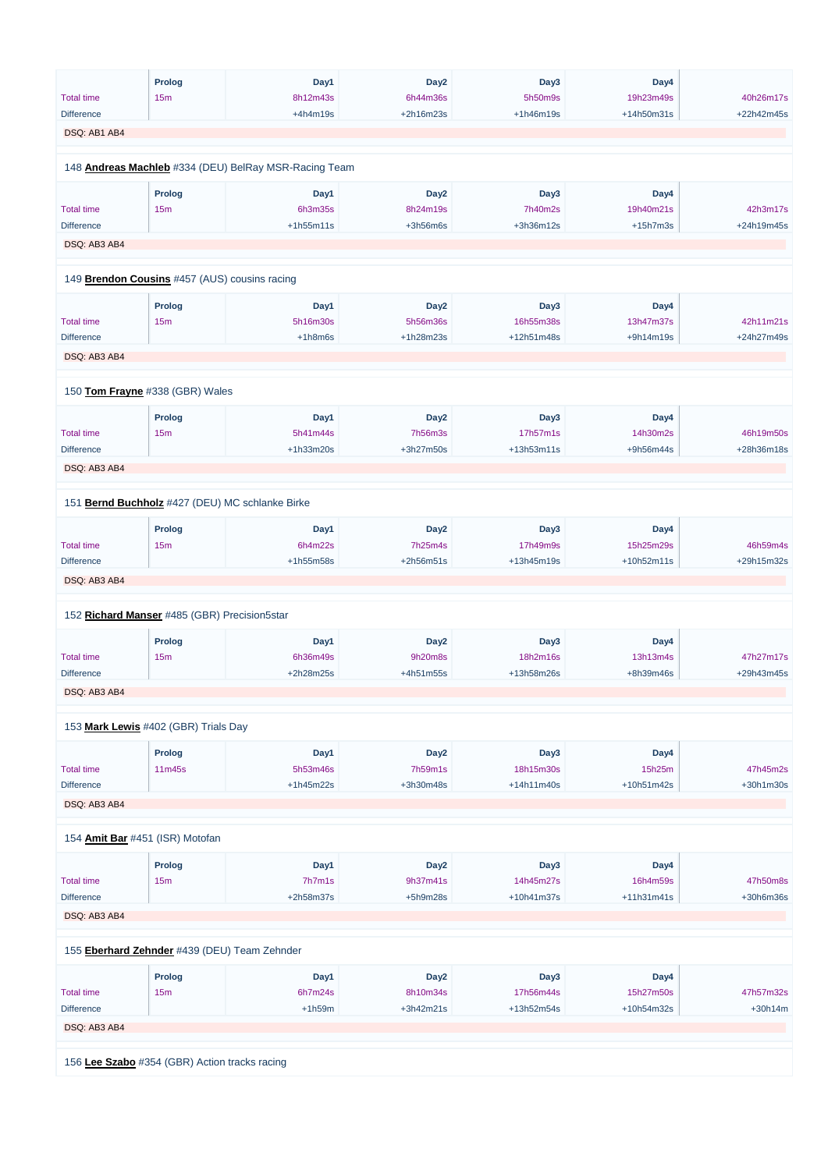|                   | <b>Prolog</b>                                 | Day1                                                  | Day <sub>2</sub> | Day3         | Day4         |            |
|-------------------|-----------------------------------------------|-------------------------------------------------------|------------------|--------------|--------------|------------|
| <b>Total time</b> | 15m                                           | 8h12m43s                                              | 6h44m36s         | 5h50m9s      | 19h23m49s    | 40h26m17s  |
| <b>Difference</b> |                                               | $+4h4m19s$                                            | +2h16m23s        | $+1h46m19s$  | +14h50m31s   | +22h42m45s |
| DSQ: AB1 AB4      |                                               |                                                       |                  |              |              |            |
|                   |                                               |                                                       |                  |              |              |            |
|                   |                                               | 148 Andreas Machleb #334 (DEU) BelRay MSR-Racing Team |                  |              |              |            |
|                   | <b>Prolog</b>                                 | Day1                                                  | Day <sub>2</sub> | Day3         | Day4         |            |
|                   |                                               |                                                       |                  |              |              |            |
| <b>Total time</b> | 15m                                           | 6h3m35s                                               | 8h24m19s         | 7h40m2s      | 19h40m21s    | 42h3m17s   |
| <b>Difference</b> |                                               | $+1h55m11s$                                           | $+3h56m6s$       | +3h36m12s    | $+15h7m3s$   | +24h19m45s |
| DSQ: AB3 AB4      |                                               |                                                       |                  |              |              |            |
|                   | 149 Brendon Cousins #457 (AUS) cousins racing |                                                       |                  |              |              |            |
|                   | <b>Prolog</b>                                 | Day1                                                  | Day <sub>2</sub> | Day3         | Day4         |            |
| <b>Total time</b> | 15m                                           | 5h16m30s                                              | 5h56m36s         | 16h55m38s    | 13h47m37s    | 42h11m21s  |
| <b>Difference</b> |                                               | $+1h8m6s$                                             | +1h28m23s        | +12h51m48s   | +9h14m19s    | +24h27m49s |
| DSQ: AB3 AB4      |                                               |                                                       |                  |              |              |            |
|                   | 150 Tom Frayne #338 (GBR) Wales               |                                                       |                  |              |              |            |
|                   |                                               |                                                       |                  |              |              |            |
|                   | <b>Prolog</b>                                 | Day1                                                  | Day <sub>2</sub> | Day3         | Day4         |            |
| <b>Total time</b> | 15m                                           | 5h41m44s                                              | <b>7h56m3s</b>   | 17h57m1s     | 14h30m2s     | 46h19m50s  |
| <b>Difference</b> |                                               | +1h33m20s                                             | +3h27m50s        | +13h53m11s   | +9h56m44s    | +28h36m18s |
| DSQ: AB3 AB4      |                                               |                                                       |                  |              |              |            |
|                   |                                               | 151 Bernd Buchholz #427 (DEU) MC schlanke Birke       |                  |              |              |            |
|                   | <b>Prolog</b>                                 | Day1                                                  | Day <sub>2</sub> | Day3         | Day4         |            |
| <b>Total time</b> | 15m                                           | 6h4m22s                                               | 7h25m4s          | 17h49m9s     | 15h25m29s    | 46h59m4s   |
| <b>Difference</b> |                                               | +1h55m58s                                             | +2h56m51s        | +13h45m19s   | +10h52m11s   | +29h15m32s |
|                   |                                               |                                                       |                  |              |              |            |
| DSQ: AB3 AB4      |                                               |                                                       |                  |              |              |            |
|                   | 152 Richard Manser #485 (GBR) Precision5star  |                                                       |                  |              |              |            |
|                   | <b>Prolog</b>                                 | Day1                                                  | Day <sub>2</sub> | Day3         | Day4         |            |
| <b>Total time</b> | 15m                                           | 6h36m49s                                              | 9h20m8s          | 18h2m16s     | 13h13m4s     | 47h27m17s  |
| <b>Difference</b> |                                               | +2h28m25s                                             | +4h51m55s        | +13h58m26s   | +8h39m46s    | +29h43m45s |
|                   |                                               |                                                       |                  |              |              |            |
| DSQ: AB3 AB4      |                                               |                                                       |                  |              |              |            |
|                   | 153 Mark Lewis #402 (GBR) Trials Day          |                                                       |                  |              |              |            |
|                   | <b>Prolog</b>                                 | Day1                                                  | Day <sub>2</sub> | Day3         | Day4         |            |
| <b>Total time</b> | 11m45s                                        | 5h53m46s                                              | 7h59m1s          | 18h15m30s    | 15h25m       | 47h45m2s   |
| <b>Difference</b> |                                               | +1h45m22s                                             | +3h30m48s        | $+14h11m40s$ | +10h51m42s   | +30h1m30s  |
| DSQ: AB3 AB4      |                                               |                                                       |                  |              |              |            |
|                   |                                               |                                                       |                  |              |              |            |
|                   | 154 Amit Bar #451 (ISR) Motofan               |                                                       |                  |              |              |            |
|                   | <b>Prolog</b>                                 | Day1                                                  | Day <sub>2</sub> | Day3         | Day4         |            |
| <b>Total time</b> | 15m                                           | 7h7m1s                                                | 9h37m41s         | 14h45m27s    | 16h4m59s     | 47h50m8s   |
| <b>Difference</b> |                                               | +2h58m37s                                             | $+5h9m28s$       | +10h41m37s   | $+11h31m41s$ | +30h6m36s  |
| DSQ: AB3 AB4      |                                               |                                                       |                  |              |              |            |
|                   | 155 Eberhard Zehnder #439 (DEU) Team Zehnder  |                                                       |                  |              |              |            |
|                   | <b>Prolog</b>                                 | Day1                                                  | Day <sub>2</sub> | Day3         | Day4         |            |
|                   |                                               |                                                       |                  |              |              |            |
| <b>Total time</b> | 15m                                           | 6h7m24s                                               | 8h10m34s         | 17h56m44s    | 15h27m50s    | 47h57m32s  |
| <b>Difference</b> |                                               | $+1h59m$                                              | +3h42m21s        | +13h52m54s   | +10h54m32s   | $+30h14m$  |
| DSQ: AB3 AB4      |                                               |                                                       |                  |              |              |            |
|                   |                                               |                                                       |                  |              |              |            |
|                   | 156 Lee Szabo #354 (GBR) Action tracks racing |                                                       |                  |              |              |            |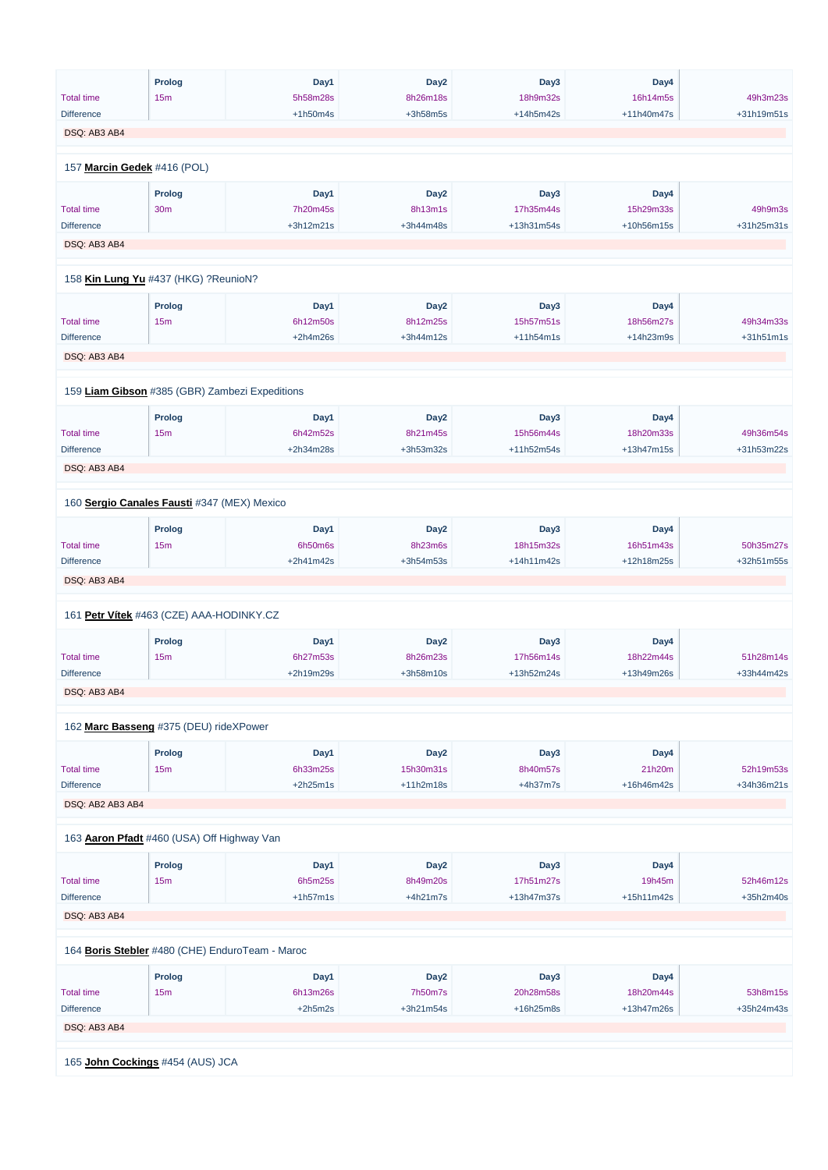|                   | <b>Prolog</b>                                   | Day1        | Day <sub>2</sub> | Day3             | Day4       |            |
|-------------------|-------------------------------------------------|-------------|------------------|------------------|------------|------------|
| <b>Total time</b> | 15m                                             | 5h58m28s    | 8h26m18s         | 18h9m32s         | 16h14m5s   | 49h3m23s   |
|                   |                                                 |             |                  |                  |            |            |
| <b>Difference</b> |                                                 | $+1h50m4s$  | $+3h58m5s$       | $+14h5m42s$      | +11h40m47s | +31h19m51s |
| DSQ: AB3 AB4      |                                                 |             |                  |                  |            |            |
|                   |                                                 |             |                  |                  |            |            |
|                   | 157 Marcin Gedek #416 (POL)                     |             |                  |                  |            |            |
|                   |                                                 |             |                  |                  |            |            |
|                   | <b>Prolog</b>                                   | Day1        | Day <sub>2</sub> | Day3             | Day4       |            |
| <b>Total time</b> | <b>30m</b>                                      | 7h20m45s    | 8h13m1s          | 17h35m44s        | 15h29m33s  | 49h9m3s    |
| <b>Difference</b> |                                                 | $+3h12m21s$ | +3h44m48s        | +13h31m54s       | +10h56m15s | +31h25m31s |
| DSQ: AB3 AB4      |                                                 |             |                  |                  |            |            |
|                   |                                                 |             |                  |                  |            |            |
|                   | 158 Kin Lung Yu #437 (HKG) ?ReunioN?            |             |                  |                  |            |            |
|                   |                                                 |             |                  |                  |            |            |
|                   | <b>Prolog</b>                                   | Day1        | Day <sub>2</sub> | Day3             | Day4       |            |
| <b>Total time</b> | 15m                                             | 6h12m50s    | 8h12m25s         | 15h57m51s        | 18h56m27s  | 49h34m33s  |
| <b>Difference</b> |                                                 | $+2h4m26s$  | +3h44m12s        | $+11h54m1s$      | +14h23m9s  | +31h51m1s  |
| DSQ: AB3 AB4      |                                                 |             |                  |                  |            |            |
|                   |                                                 |             |                  |                  |            |            |
|                   | 159 Liam Gibson #385 (GBR) Zambezi Expeditions  |             |                  |                  |            |            |
|                   |                                                 |             |                  |                  |            |            |
|                   | <b>Prolog</b>                                   | Day1        | Day <sub>2</sub> | Day <sub>3</sub> | Day4       |            |
| <b>Total time</b> | 15m                                             | 6h42m52s    | 8h21m45s         | 15h56m44s        | 18h20m33s  | 49h36m54s  |
| <b>Difference</b> |                                                 | +2h34m28s   | +3h53m32s        | +11h52m54s       | +13h47m15s | +31h53m22s |
|                   |                                                 |             |                  |                  |            |            |
| DSQ: AB3 AB4      |                                                 |             |                  |                  |            |            |
|                   |                                                 |             |                  |                  |            |            |
|                   | 160 Sergio Canales Fausti #347 (MEX) Mexico     |             |                  |                  |            |            |
|                   |                                                 |             |                  | Day3             | Day4       |            |
|                   | <b>Prolog</b>                                   | Day1        | Day <sub>2</sub> |                  |            |            |
| <b>Total time</b> | 15m                                             | 6h50m6s     | 8h23m6s          | 18h15m32s        | 16h51m43s  | 50h35m27s  |
| <b>Difference</b> |                                                 | $+2h41m42s$ | +3h54m53s        | +14h11m42s       | +12h18m25s | +32h51m55s |
| DSQ: AB3 AB4      |                                                 |             |                  |                  |            |            |
|                   |                                                 |             |                  |                  |            |            |
|                   | 161 Petr Vítek #463 (CZE) AAA-HODINKY.CZ        |             |                  |                  |            |            |
|                   | <b>Prolog</b>                                   | Day1        | Day <sub>2</sub> | Day3             | Day4       |            |
|                   |                                                 |             |                  |                  |            |            |
| <b>Total time</b> | 15m                                             | 6h27m53s    | 8h26m23s         | 17h56m14s        | 18h22m44s  | 51h28m14s  |
| <b>Difference</b> |                                                 | +2h19m29s   | +3h58m10s        | +13h52m24s       | +13h49m26s | +33h44m42s |
| DSQ: AB3 AB4      |                                                 |             |                  |                  |            |            |
|                   |                                                 |             |                  |                  |            |            |
|                   | 162 Marc Basseng #375 (DEU) rideXPower          |             |                  |                  |            |            |
|                   |                                                 |             |                  |                  |            |            |
|                   | <b>Prolog</b>                                   | Day1        | Day <sub>2</sub> | Day3             | Day4       |            |
| <b>Total time</b> | 15m                                             | 6h33m25s    | 15h30m31s        | 8h40m57s         | 21h20m     | 52h19m53s  |
| <b>Difference</b> |                                                 | $+2h25m1s$  | $+11h2m18s$      | $+4h37m7s$       | +16h46m42s | +34h36m21s |
| DSQ: AB2 AB3 AB4  |                                                 |             |                  |                  |            |            |
|                   |                                                 |             |                  |                  |            |            |
|                   | 163 Aaron Pfadt #460 (USA) Off Highway Van      |             |                  |                  |            |            |
|                   |                                                 |             |                  |                  |            |            |
|                   | <b>Prolog</b>                                   | Day1        | Day <sub>2</sub> | Day3             | Day4       |            |
| <b>Total time</b> | 15m                                             | 6h5m25s     | 8h49m20s         | 17h51m27s        | 19h45m     | 52h46m12s  |
| <b>Difference</b> |                                                 | $+1h57m1s$  | $+4h21m7s$       | +13h47m37s       | +15h11m42s | +35h2m40s  |
|                   |                                                 |             |                  |                  |            |            |
| DSQ: AB3 AB4      |                                                 |             |                  |                  |            |            |
|                   |                                                 |             |                  |                  |            |            |
|                   | 164 Boris Stebler #480 (CHE) EnduroTeam - Maroc |             |                  |                  |            |            |
|                   | <b>Prolog</b>                                   | Day1        | Day <sub>2</sub> | Day3             | Day4       |            |
| <b>Total time</b> | 15m                                             | 6h13m26s    | 7h50m7s          | 20h28m58s        | 18h20m44s  | 53h8m15s   |
| <b>Difference</b> |                                                 | $+2h5m2s$   | $+3h21m54s$      | +16h25m8s        | +13h47m26s | +35h24m43s |
| DSQ: AB3 AB4      |                                                 |             |                  |                  |            |            |
|                   |                                                 |             |                  |                  |            |            |
|                   |                                                 |             |                  |                  |            |            |
|                   | 165 John Cockings #454 (AUS) JCA                |             |                  |                  |            |            |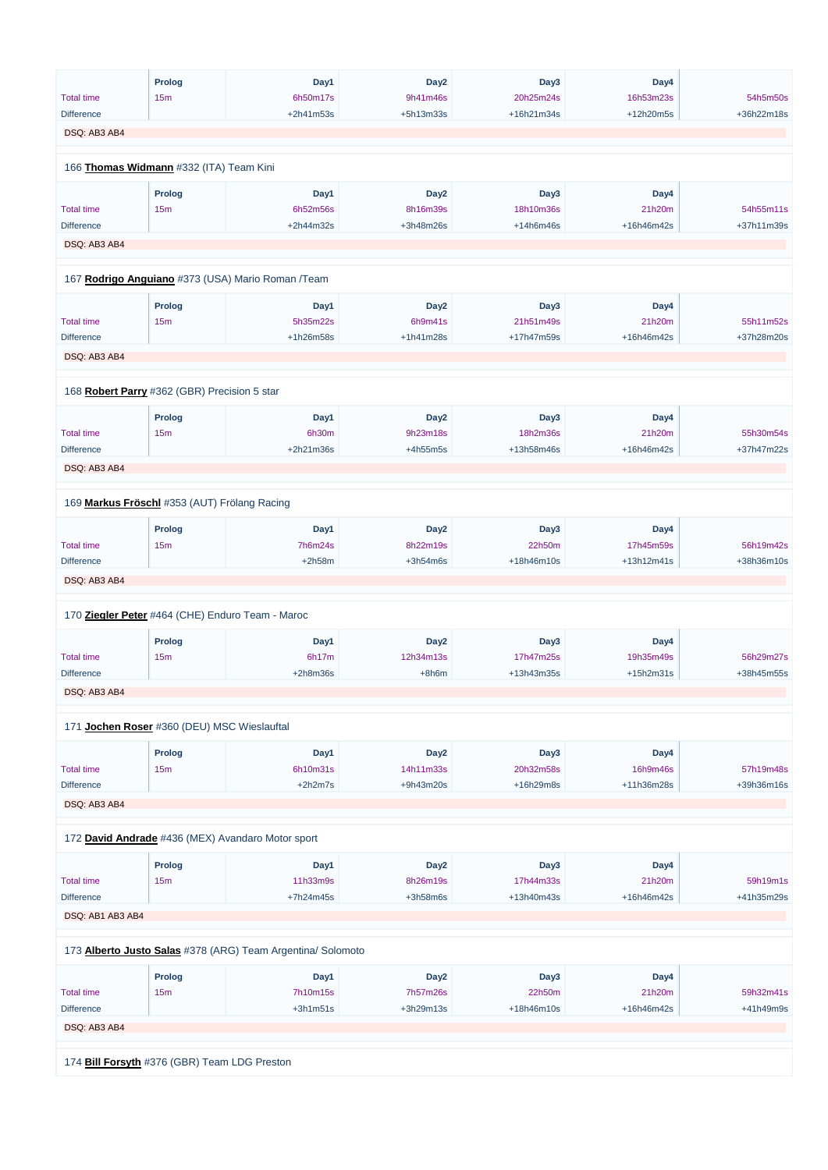|                   | <b>Prolog</b>                                    | Day1                                              | Day <sub>2</sub> | Day3       | Day4       |            |
|-------------------|--------------------------------------------------|---------------------------------------------------|------------------|------------|------------|------------|
| <b>Total time</b> | 15m                                              | 6h50m17s                                          | 9h41m46s         | 20h25m24s  | 16h53m23s  | 54h5m50s   |
| <b>Difference</b> |                                                  | +2h41m53s                                         | +5h13m33s        | +16h21m34s | +12h20m5s  | +36h22m18s |
| DSQ: AB3 AB4      |                                                  |                                                   |                  |            |            |            |
|                   |                                                  |                                                   |                  |            |            |            |
|                   | 166 Thomas Widmann #332 (ITA) Team Kini          |                                                   |                  |            |            |            |
|                   | Prolog                                           | Day1                                              | Day <sub>2</sub> | Day3       | Day4       |            |
| <b>Total time</b> | 15m                                              | 6h52m56s                                          | 8h16m39s         | 18h10m36s  | 21h20m     | 54h55m11s  |
| <b>Difference</b> |                                                  | +2h44m32s                                         | +3h48m26s        | +14h6m46s  | +16h46m42s | +37h11m39s |
| DSQ: AB3 AB4      |                                                  |                                                   |                  |            |            |            |
|                   |                                                  | 167 Rodrigo Anguiano #373 (USA) Mario Roman /Team |                  |            |            |            |
|                   | <b>Prolog</b>                                    | Day1                                              | Day <sub>2</sub> | Day3       | Day4       |            |
| <b>Total time</b> | 15m                                              | 5h35m22s                                          | 6h9m41s          | 21h51m49s  | 21h20m     | 55h11m52s  |
| <b>Difference</b> |                                                  | +1h26m58s                                         | +1h41m28s        | +17h47m59s | +16h46m42s | +37h28m20s |
|                   |                                                  |                                                   |                  |            |            |            |
| DSQ: AB3 AB4      |                                                  |                                                   |                  |            |            |            |
|                   |                                                  |                                                   |                  |            |            |            |
|                   | 168 Robert Parry #362 (GBR) Precision 5 star     |                                                   |                  |            |            |            |
|                   | <b>Prolog</b>                                    | Day1                                              | Day <sub>2</sub> | Day3       | Day4       |            |
| <b>Total time</b> | 15m                                              | 6h30m                                             | 9h23m18s         | 18h2m36s   | 21h20m     | 55h30m54s  |
| <b>Difference</b> |                                                  | +2h21m36s                                         | $+4h55m5s$       | +13h58m46s | +16h46m42s | +37h47m22s |
| DSQ: AB3 AB4      |                                                  |                                                   |                  |            |            |            |
|                   |                                                  |                                                   |                  |            |            |            |
|                   | 169 Markus Fröschl #353 (AUT) Frölang Racing     |                                                   |                  |            |            |            |
|                   | <b>Prolog</b>                                    | Day1                                              | Day <sub>2</sub> | Day3       | Day4       |            |
| <b>Total time</b> | 15m                                              | 7h6m24s                                           | 8h22m19s         | 22h50m     | 17h45m59s  | 56h19m42s  |
| <b>Difference</b> |                                                  | $+2h58m$                                          | $+3h54m6s$       | +18h46m10s | +13h12m41s | +38h36m10s |
| DSQ: AB3 AB4      |                                                  |                                                   |                  |            |            |            |
|                   |                                                  |                                                   |                  |            |            |            |
|                   | 170 Ziegler Peter #464 (CHE) Enduro Team - Maroc |                                                   |                  |            |            |            |
|                   | <b>Prolog</b>                                    | Day1                                              | Day <sub>2</sub> | Day3       | Day4       |            |
| <b>Total time</b> | 15m                                              | 6h17m                                             | 12h34m13s        | 17h47m25s  | 19h35m49s  | 56h29m27s  |
| <b>Difference</b> |                                                  | $+2h8m36s$                                        | $+8h6m$          | +13h43m35s | +15h2m31s  | +38h45m55s |
| DSQ: AB3 AB4      |                                                  |                                                   |                  |            |            |            |
|                   | 171 Jochen Roser #360 (DEU) MSC Wieslauftal      |                                                   |                  |            |            |            |
|                   | <b>Prolog</b>                                    | Day1                                              | Day <sub>2</sub> | Day3       | Day4       |            |
| <b>Total time</b> | 15m                                              | 6h10m31s                                          | 14h11m33s        | 20h32m58s  | 16h9m46s   | 57h19m48s  |
| <b>Difference</b> |                                                  | $+2h2m7s$                                         | +9h43m20s        | +16h29m8s  | +11h36m28s | +39h36m16s |
|                   |                                                  |                                                   |                  |            |            |            |
| DSQ: AB3 AB4      |                                                  |                                                   |                  |            |            |            |
|                   |                                                  | 172 David Andrade #436 (MEX) Avandaro Motor sport |                  |            |            |            |
|                   | <b>Prolog</b>                                    | Day1                                              | Day <sub>2</sub> | Day3       | Day4       |            |
|                   |                                                  |                                                   |                  |            |            |            |

Total time 15m 11h33m9s 8h26m19s 17h44m33s 21h20m 59h19m1s

| <b>Difference</b>                                           |                                              | $+7h24m45s$ | $+3h58m6s$       | +13h40m43s   | +16h46m42s | +41h35m29s  |  |  |  |
|-------------------------------------------------------------|----------------------------------------------|-------------|------------------|--------------|------------|-------------|--|--|--|
| DSQ: AB1 AB3 AB4                                            |                                              |             |                  |              |            |             |  |  |  |
|                                                             |                                              |             |                  |              |            |             |  |  |  |
| 173 Alberto Justo Salas #378 (ARG) Team Argentina/ Solomoto |                                              |             |                  |              |            |             |  |  |  |
|                                                             |                                              |             |                  |              |            |             |  |  |  |
|                                                             | <b>Prolog</b>                                | Day1        | Day <sub>2</sub> | Day3         | Day4       |             |  |  |  |
| <b>Total time</b>                                           | 15 <sub>m</sub>                              | 7h10m15s    | 7h57m26s         | 22h50m       | 21h20m     | 59h32m41s   |  |  |  |
| <b>Difference</b>                                           |                                              | $+3h1m51s$  | $+3h29m13s$      | $+18h46m10s$ | +16h46m42s | $+41h49m9s$ |  |  |  |
| DSQ: AB3 AB4                                                |                                              |             |                  |              |            |             |  |  |  |
|                                                             |                                              |             |                  |              |            |             |  |  |  |
|                                                             | 174 Bill Forsyth #376 (GBR) Team LDG Preston |             |                  |              |            |             |  |  |  |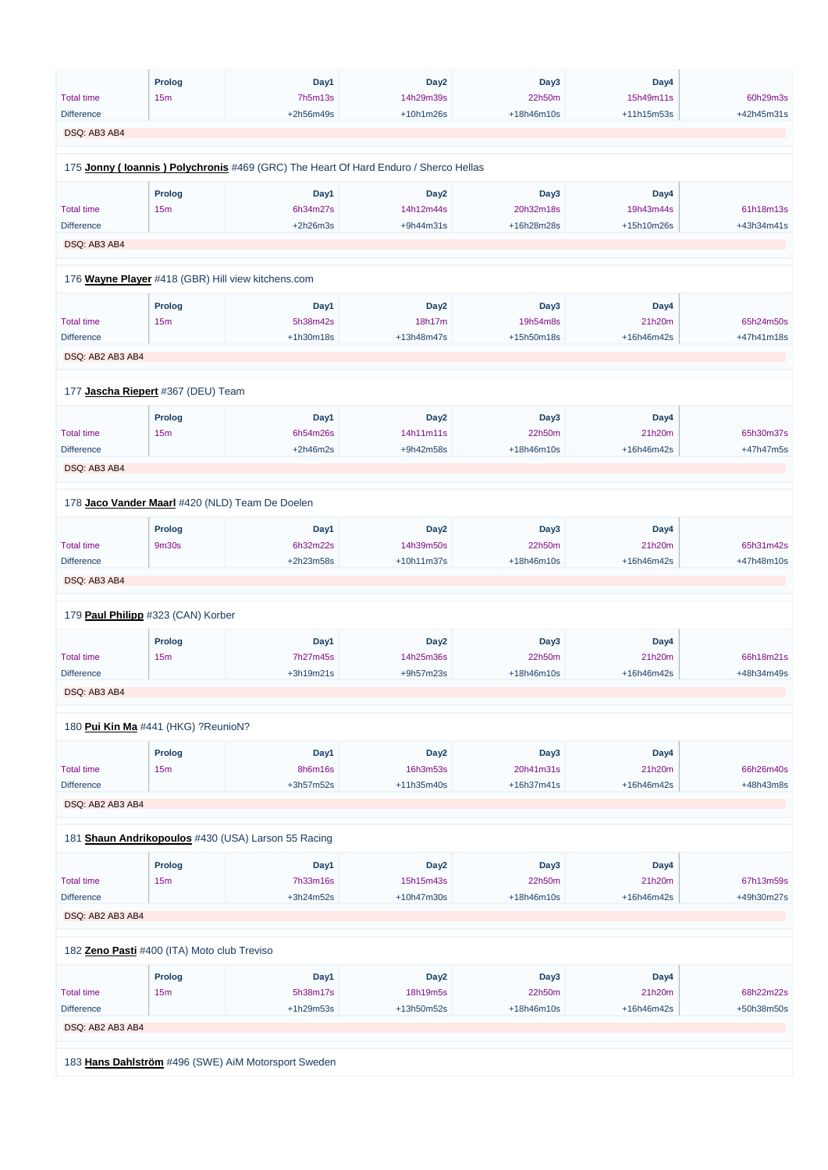|                   | <b>Prolog</b>                       | Day1                                                                                | Day <sub>2</sub> | Day3       | Day4       |            |
|-------------------|-------------------------------------|-------------------------------------------------------------------------------------|------------------|------------|------------|------------|
| <b>Total time</b> | 15m                                 | 7h5m13s                                                                             | 14h29m39s        | 22h50m     | 15h49m11s  | 60h29m3s   |
| <b>Difference</b> |                                     | +2h56m49s                                                                           | $+10h1m26s$      | +18h46m10s | +11h15m53s | +42h45m31s |
|                   |                                     |                                                                                     |                  |            |            |            |
| DSQ: AB3 AB4      |                                     |                                                                                     |                  |            |            |            |
|                   |                                     |                                                                                     |                  |            |            |            |
|                   |                                     | 175 Jonny (Ioannis) Polychronis #469 (GRC) The Heart Of Hard Enduro / Sherco Hellas |                  |            |            |            |
|                   |                                     |                                                                                     |                  |            |            |            |
|                   | <b>Prolog</b>                       | Day1                                                                                | Day <sub>2</sub> | Day3       | Day4       |            |
| <b>Total time</b> | 15m                                 | 6h34m27s                                                                            | 14h12m44s        | 20h32m18s  | 19h43m44s  | 61h18m13s  |
| <b>Difference</b> |                                     | $+2h26m3s$                                                                          | +9h44m31s        | +16h28m28s | +15h10m26s | +43h34m41s |
| DSQ: AB3 AB4      |                                     |                                                                                     |                  |            |            |            |
|                   |                                     |                                                                                     |                  |            |            |            |
|                   |                                     | 176 Wayne Player #418 (GBR) Hill view kitchens.com                                  |                  |            |            |            |
|                   |                                     |                                                                                     |                  |            |            |            |
|                   | <b>Prolog</b>                       | Day1                                                                                | Day <sub>2</sub> | Day3       | Day4       |            |
| <b>Total time</b> | 15m                                 | 5h38m42s                                                                            | 18h17m           | 19h54m8s   | 21h20m     | 65h24m50s  |
| <b>Difference</b> |                                     | +1h30m18s                                                                           | +13h48m47s       | +15h50m18s | +16h46m42s | +47h41m18s |
| DSQ: AB2 AB3 AB4  |                                     |                                                                                     |                  |            |            |            |
|                   |                                     |                                                                                     |                  |            |            |            |
|                   | 177 Jascha Riepert #367 (DEU) Team  |                                                                                     |                  |            |            |            |
|                   |                                     |                                                                                     |                  |            |            |            |
|                   | <b>Prolog</b>                       | Day1                                                                                | Day <sub>2</sub> | Day3       | Day4       |            |
| <b>Total time</b> | 15m                                 | 6h54m26s                                                                            | 14h11m11s        | 22h50m     | 21h20m     | 65h30m37s  |
| <b>Difference</b> |                                     | $+2h46m2s$                                                                          | +9h42m58s        | +18h46m10s | +16h46m42s | +47h47m5s  |
| DSQ: AB3 AB4      |                                     |                                                                                     |                  |            |            |            |
|                   |                                     |                                                                                     |                  |            |            |            |
|                   |                                     | 178 Jaco Vander Maarl #420 (NLD) Team De Doelen                                     |                  |            |            |            |
|                   | <b>Prolog</b>                       | Day1                                                                                | Day <sub>2</sub> | Day3       | Day4       |            |
| <b>Total time</b> | 9m30s                               | 6h32m22s                                                                            | 14h39m50s        | 22h50m     | 21h20m     | 65h31m42s  |
| <b>Difference</b> |                                     | +2h23m58s                                                                           | +10h11m37s       | +18h46m10s | +16h46m42s | +47h48m10s |
|                   |                                     |                                                                                     |                  |            |            |            |
| DSQ: AB3 AB4      |                                     |                                                                                     |                  |            |            |            |
|                   |                                     |                                                                                     |                  |            |            |            |
|                   | 179 Paul Philipp #323 (CAN) Korber  |                                                                                     |                  |            |            |            |
|                   | <b>Prolog</b>                       | Day1                                                                                | Day <sub>2</sub> | Day3       | Day4       |            |
| <b>Total time</b> |                                     | 7h27m45s                                                                            |                  | 22h50m     | 21h20m     | 66h18m21s  |
|                   | 15m                                 |                                                                                     | 14h25m36s        |            |            |            |
| <b>Difference</b> |                                     | +3h19m21s                                                                           | +9h57m23s        | +18h46m10s | +16h46m42s | +48h34m49s |
| DSQ: AB3 AB4      |                                     |                                                                                     |                  |            |            |            |
|                   |                                     |                                                                                     |                  |            |            |            |
|                   | 180 Pui Kin Ma #441 (HKG) ?ReunioN? |                                                                                     |                  |            |            |            |
|                   | Prolog                              | Day1                                                                                | Day <sub>2</sub> | Day3       | Day4       |            |
|                   |                                     |                                                                                     |                  |            |            |            |
| <b>Total time</b> | 15m                                 | 8h6m16s                                                                             | 16h3m53s         | 20h41m31s  | 21h20m     | 66h26m40s  |
| <b>Difference</b> |                                     | +3h57m52s                                                                           | +11h35m40s       | +16h37m41s | +16h46m42s | +48h43m8s  |
| DSQ: AB2 AB3 AB4  |                                     |                                                                                     |                  |            |            |            |
|                   |                                     |                                                                                     |                  |            |            |            |
|                   |                                     | 181 Shaun Andrikopoulos #430 (USA) Larson 55 Racing                                 |                  |            |            |            |
|                   |                                     |                                                                                     |                  |            |            |            |
|                   | <b>Prolog</b>                       | Day1                                                                                | Day <sub>2</sub> | Day3       | Day4       |            |

| <b>Total time</b>                           | 15 <sub>m</sub>                                     | 7h33m16s    | 15h15m43s        | 22h50m       | 21h20m     | 67h13m59s  |  |  |  |
|---------------------------------------------|-----------------------------------------------------|-------------|------------------|--------------|------------|------------|--|--|--|
| <b>Difference</b>                           |                                                     | $+3h24m52s$ | $+10h47m30s$     | $+18h46m10s$ | +16h46m42s | +49h30m27s |  |  |  |
| DSQ: AB2 AB3 AB4                            |                                                     |             |                  |              |            |            |  |  |  |
|                                             |                                                     |             |                  |              |            |            |  |  |  |
| 182 Zeno Pasti #400 (ITA) Moto club Treviso |                                                     |             |                  |              |            |            |  |  |  |
|                                             | <b>Prolog</b>                                       | Day1        | Day <sub>2</sub> | Day3         | Day4       |            |  |  |  |
| <b>Total time</b>                           | 15 <sub>m</sub>                                     | 5h38m17s    | 18h19m5s         | 22h50m       | 21h20m     | 68h22m22s  |  |  |  |
| <b>Difference</b>                           |                                                     | $+1h29m53s$ | +13h50m52s       | $+18h46m10s$ | +16h46m42s | +50h38m50s |  |  |  |
| DSQ: AB2 AB3 AB4                            |                                                     |             |                  |              |            |            |  |  |  |
|                                             |                                                     |             |                  |              |            |            |  |  |  |
|                                             | 183 Hans Dahlström #496 (SWE) AiM Motorsport Sweden |             |                  |              |            |            |  |  |  |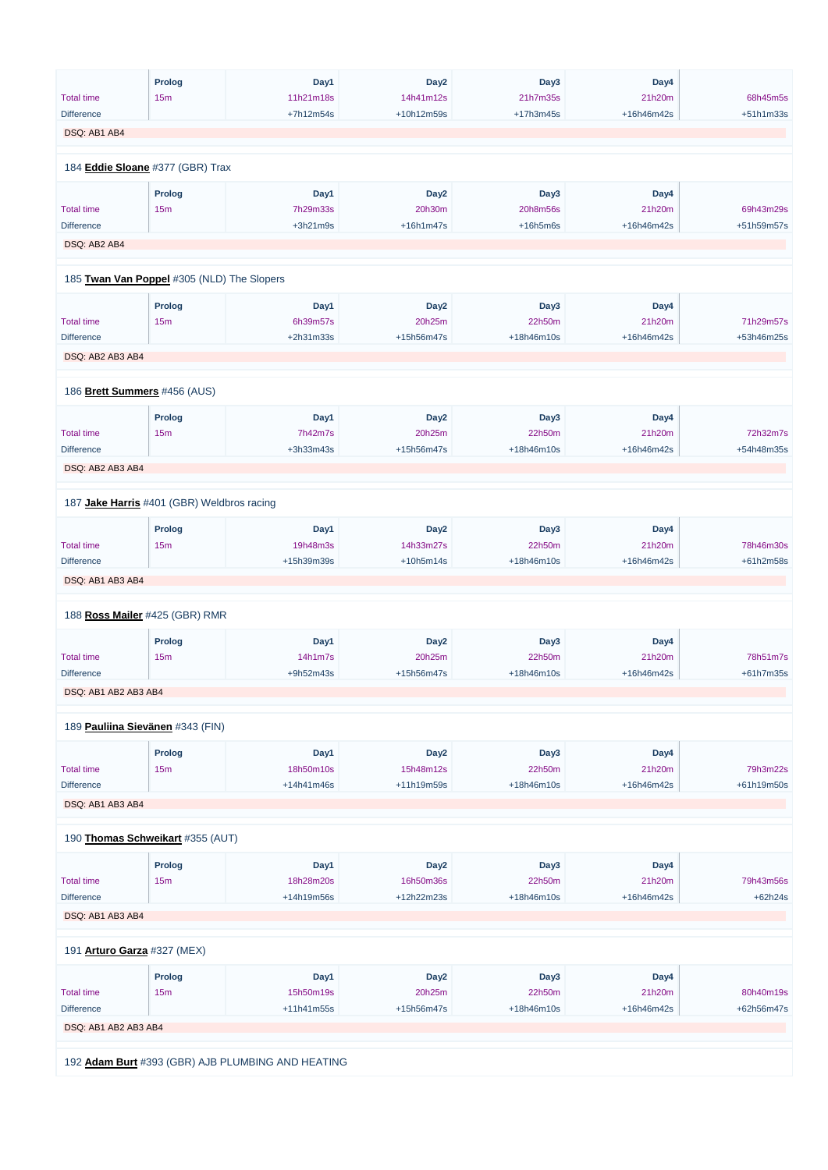|                      | <b>Prolog</b>                              | Day1                                              | Day <sub>2</sub> | Day3        | Day4       |            |
|----------------------|--------------------------------------------|---------------------------------------------------|------------------|-------------|------------|------------|
| <b>Total time</b>    | 15m                                        | 11h21m18s                                         | 14h41m12s        | 21h7m35s    | 21h20m     | 68h45m5s   |
|                      |                                            |                                                   |                  |             |            |            |
| <b>Difference</b>    |                                            | +7h12m54s                                         | +10h12m59s       | $+17h3m45s$ | +16h46m42s | +51h1m33s  |
| DSQ: AB1 AB4         |                                            |                                                   |                  |             |            |            |
|                      |                                            |                                                   |                  |             |            |            |
|                      | 184 Eddie Sloane #377 (GBR) Trax           |                                                   |                  |             |            |            |
|                      |                                            |                                                   |                  |             |            |            |
|                      | <b>Prolog</b>                              | Day1                                              | Day <sub>2</sub> | Day3        | Day4       |            |
| <b>Total time</b>    | 15m                                        | 7h29m33s                                          | 20h30m           | 20h8m56s    | 21h20m     | 69h43m29s  |
| <b>Difference</b>    |                                            | $+3h21m9s$                                        | $+16h1m47s$      | $+16h5m6s$  | +16h46m42s | +51h59m57s |
|                      |                                            |                                                   |                  |             |            |            |
| DSQ: AB2 AB4         |                                            |                                                   |                  |             |            |            |
|                      |                                            |                                                   |                  |             |            |            |
|                      | 185 Twan Van Poppel #305 (NLD) The Slopers |                                                   |                  |             |            |            |
|                      |                                            |                                                   |                  |             |            |            |
|                      | <b>Prolog</b>                              | Day1                                              | Day <sub>2</sub> | Day3        | Day4       |            |
| <b>Total time</b>    | 15m                                        | 6h39m57s                                          | 20h25m           | 22h50m      | 21h20m     | 71h29m57s  |
| <b>Difference</b>    |                                            | +2h31m33s                                         | +15h56m47s       | +18h46m10s  | +16h46m42s | +53h46m25s |
| DSQ: AB2 AB3 AB4     |                                            |                                                   |                  |             |            |            |
|                      |                                            |                                                   |                  |             |            |            |
|                      |                                            |                                                   |                  |             |            |            |
|                      | 186 Brett Summers #456 (AUS)               |                                                   |                  |             |            |            |
|                      |                                            |                                                   |                  |             |            |            |
|                      | <b>Prolog</b>                              | Day1                                              | Day <sub>2</sub> | Day3        | Day4       |            |
| <b>Total time</b>    | 15m                                        | 7h42m7s                                           | 20h25m           | 22h50m      | 21h20m     | 72h32m7s   |
| <b>Difference</b>    |                                            | +3h33m43s                                         | +15h56m47s       | +18h46m10s  | +16h46m42s | +54h48m35s |
| DSQ: AB2 AB3 AB4     |                                            |                                                   |                  |             |            |            |
|                      |                                            |                                                   |                  |             |            |            |
|                      |                                            |                                                   |                  |             |            |            |
|                      | 187 Jake Harris #401 (GBR) Weldbros racing |                                                   |                  |             |            |            |
|                      | <b>Prolog</b>                              | Day1                                              | Day <sub>2</sub> | Day3        | Day4       |            |
|                      |                                            |                                                   |                  |             |            |            |
| <b>Total time</b>    | 15m                                        | 19h48m3s                                          | 14h33m27s        | 22h50m      | 21h20m     | 78h46m30s  |
| <b>Difference</b>    |                                            | +15h39m39s                                        | $+10h5m14s$      | +18h46m10s  | +16h46m42s | +61h2m58s  |
| DSQ: AB1 AB3 AB4     |                                            |                                                   |                  |             |            |            |
|                      |                                            |                                                   |                  |             |            |            |
|                      | 188 Ross Mailer #425 (GBR) RMR             |                                                   |                  |             |            |            |
|                      |                                            |                                                   |                  |             |            |            |
|                      | <b>Prolog</b>                              | Day1                                              | Day <sub>2</sub> | Day3        | Day4       |            |
| <b>Total time</b>    | 15m                                        | 14h1m7s                                           | 20h25m           | 22h50m      | 21h20m     | 78h51m7s   |
| <b>Difference</b>    |                                            | +9h52m43s                                         | +15h56m47s       | +18h46m10s  | +16h46m42s | +61h7m35s  |
|                      |                                            |                                                   |                  |             |            |            |
| DSQ: AB1 AB2 AB3 AB4 |                                            |                                                   |                  |             |            |            |
|                      |                                            |                                                   |                  |             |            |            |
|                      | 189 Pauliina Sievänen #343 (FIN)           |                                                   |                  |             |            |            |
|                      |                                            |                                                   |                  |             |            |            |
|                      | <b>Prolog</b>                              | Day1                                              | Day <sub>2</sub> | Day3        | Day4       |            |
| <b>Total time</b>    | 15m                                        | 18h50m10s                                         | 15h48m12s        | 22h50m      | 21h20m     | 79h3m22s   |
| <b>Difference</b>    |                                            | $+14h41m46s$                                      | +11h19m59s       | +18h46m10s  | +16h46m42s | +61h19m50s |
| DSQ: AB1 AB3 AB4     |                                            |                                                   |                  |             |            |            |
|                      |                                            |                                                   |                  |             |            |            |
|                      |                                            |                                                   |                  |             |            |            |
|                      | 190 Thomas Schweikart #355 (AUT)           |                                                   |                  |             |            |            |
|                      | <b>Prolog</b>                              | Day1                                              | Day <sub>2</sub> | Day3        | Day4       |            |
|                      |                                            |                                                   |                  |             |            |            |
| <b>Total time</b>    | 15m                                        | 18h28m20s                                         | 16h50m36s        | 22h50m      | 21h20m     | 79h43m56s  |
| <b>Difference</b>    |                                            | +14h19m56s                                        | +12h22m23s       | +18h46m10s  | +16h46m42s | +62h24s    |
| DSQ: AB1 AB3 AB4     |                                            |                                                   |                  |             |            |            |
|                      |                                            |                                                   |                  |             |            |            |
|                      | 191 Arturo Garza #327 (MEX)                |                                                   |                  |             |            |            |
|                      |                                            |                                                   |                  |             |            |            |
|                      | <b>Prolog</b>                              | Day1                                              | Day <sub>2</sub> | Day3        | Day4       |            |
| <b>Total time</b>    | 15m                                        | 15h50m19s                                         | 20h25m           | 22h50m      | 21h20m     | 80h40m19s  |
| <b>Difference</b>    |                                            | +11h41m55s                                        | +15h56m47s       | +18h46m10s  | +16h46m42s | +62h56m47s |
|                      |                                            |                                                   |                  |             |            |            |
| DSQ: AB1 AB2 AB3 AB4 |                                            |                                                   |                  |             |            |            |
|                      |                                            |                                                   |                  |             |            |            |
|                      |                                            | 192 Adam Burt #393 (GBR) AJB PLUMBING AND HEATING |                  |             |            |            |
|                      |                                            |                                                   |                  |             |            |            |